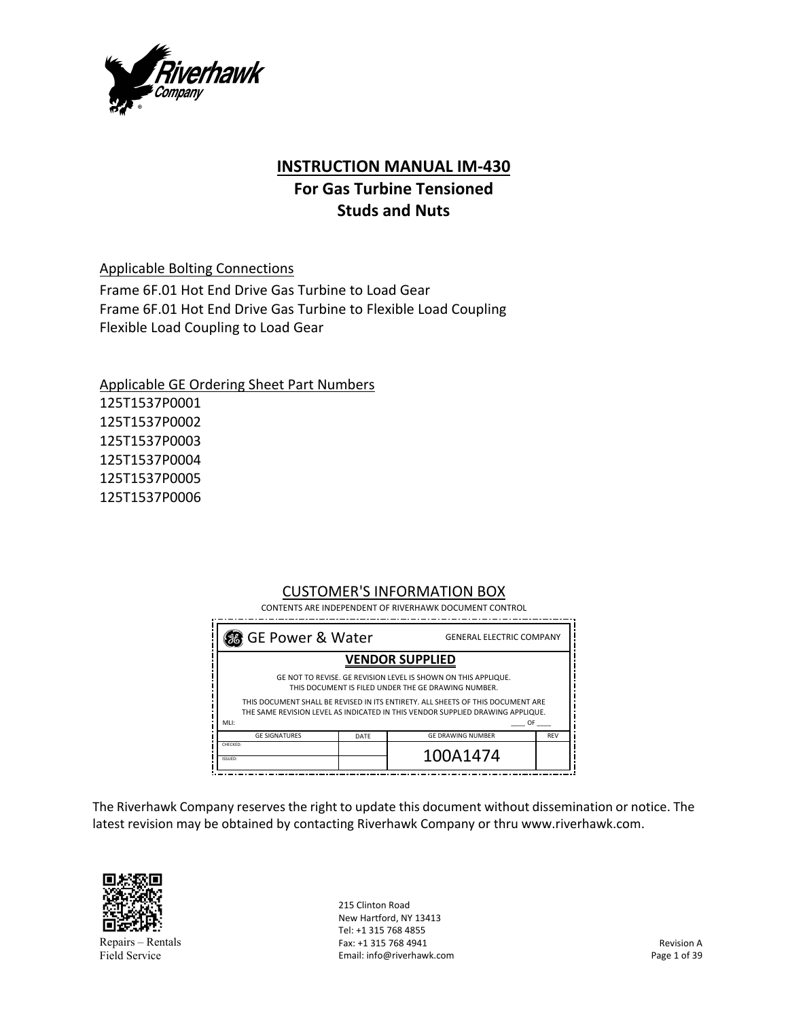

# **INSTRUCTION MANUAL IM‐430**

# **For Gas Turbine Tensioned Studs and Nuts**

Applicable Bolting Connections

Frame 6F.01 Hot End Drive Gas Turbine to Load Gear Frame 6F.01 Hot End Drive Gas Turbine to Flexible Load Coupling Flexible Load Coupling to Load Gear

Applicable GE Ordering Sheet Part Numbers 125T1537P0001 125T1537P0002 125T1537P0003 125T1537P0004 125T1537P0005 125T1537P0006

# CUSTOMER'S INFORMATION BOX

| 86 GE Power & Water<br><b>GENERAL ELECTRIC COMPANY</b>                                                                |      |                                                                                                                                                                   |            |
|-----------------------------------------------------------------------------------------------------------------------|------|-------------------------------------------------------------------------------------------------------------------------------------------------------------------|------------|
|                                                                                                                       |      | <b>VENDOR SUPPLIED</b>                                                                                                                                            |            |
| GE NOT TO REVISE. GE REVISION LEVEL IS SHOWN ON THIS APPLIQUE.<br>THIS DOCUMENT IS FILED UNDER THE GE DRAWING NUMBER. |      |                                                                                                                                                                   |            |
| MLI:                                                                                                                  |      | THIS DOCUMENT SHALL BE REVISED IN ITS ENTIRETY. ALL SHEETS OF THIS DOCUMENT ARE<br>THE SAME REVISION LEVEL AS INDICATED IN THIS VENDOR SUPPLIED DRAWING APPLIQUE. | OF a       |
| <b>GE SIGNATURES</b>                                                                                                  | DATE | <b>GE DRAWING NUMBER</b>                                                                                                                                          | <b>REV</b> |
| CHECKED:<br>ISSUED:                                                                                                   |      | 100A1474                                                                                                                                                          |            |

The Riverhawk Company reserves the right to update this document without dissemination or notice. The latest revision may be obtained by contacting Riverhawk Company or thru www.riverhawk.com.



Repairs – Rentals Field Service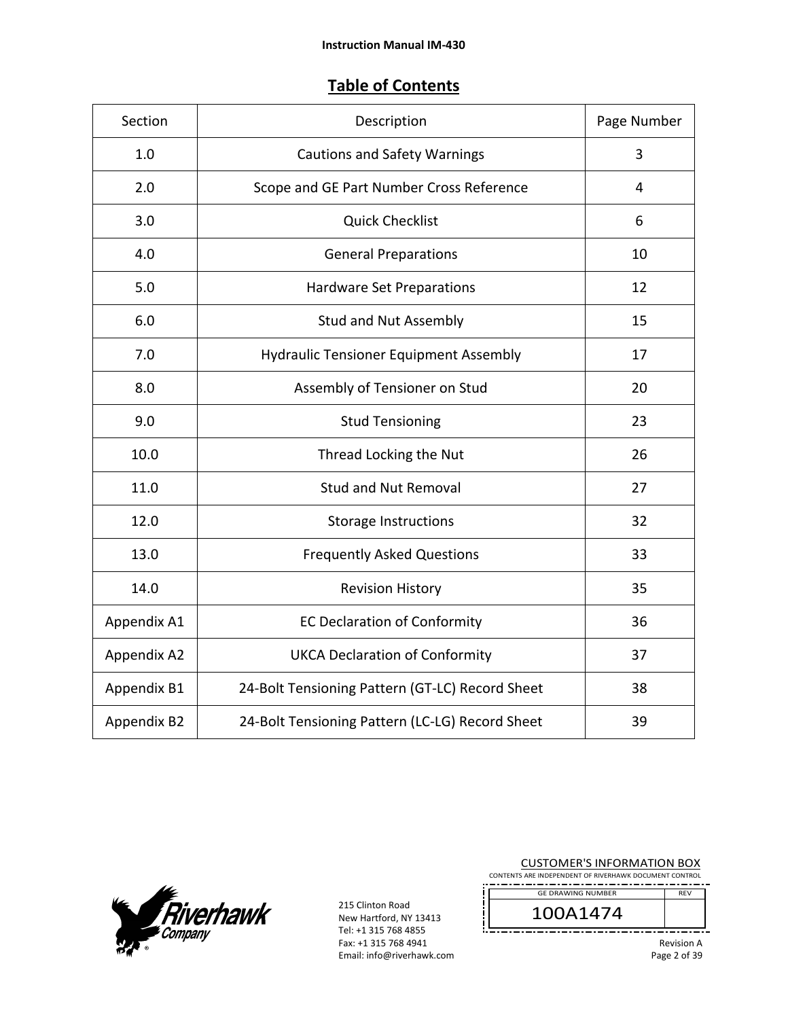# **Table of Contents**

| Section     | Description                                     | Page Number |
|-------------|-------------------------------------------------|-------------|
| 1.0         | <b>Cautions and Safety Warnings</b>             | 3           |
| 2.0         | Scope and GE Part Number Cross Reference        | 4           |
| 3.0         | <b>Quick Checklist</b>                          | 6           |
| 4.0         | <b>General Preparations</b>                     | 10          |
| 5.0         | Hardware Set Preparations                       | 12          |
| 6.0         | <b>Stud and Nut Assembly</b>                    | 15          |
| 7.0         | <b>Hydraulic Tensioner Equipment Assembly</b>   | 17          |
| 8.0         | Assembly of Tensioner on Stud                   | 20          |
| 9.0         | <b>Stud Tensioning</b>                          | 23          |
| 10.0        | Thread Locking the Nut                          | 26          |
| 11.0        | <b>Stud and Nut Removal</b>                     | 27          |
| 12.0        | <b>Storage Instructions</b>                     | 32          |
| 13.0        | <b>Frequently Asked Questions</b>               | 33          |
| 14.0        | <b>Revision History</b>                         | 35          |
| Appendix A1 | <b>EC Declaration of Conformity</b>             | 36          |
| Appendix A2 | <b>UKCA Declaration of Conformity</b>           | 37          |
| Appendix B1 | 24-Bolt Tensioning Pattern (GT-LC) Record Sheet | 38          |
| Appendix B2 | 24-Bolt Tensioning Pattern (LC-LG) Record Sheet | 39          |



| <b>CUSTOMER'S INFORMATION BOX</b><br>CONTENTS ARE INDEPENDENT OF RIVERHAWK DOCUMENT CONTROL |                   |
|---------------------------------------------------------------------------------------------|-------------------|
| <b>GE DRAWING NUMBER</b>                                                                    | <b>RFV</b>        |
| 100A1474                                                                                    |                   |
|                                                                                             | <b>Revision A</b> |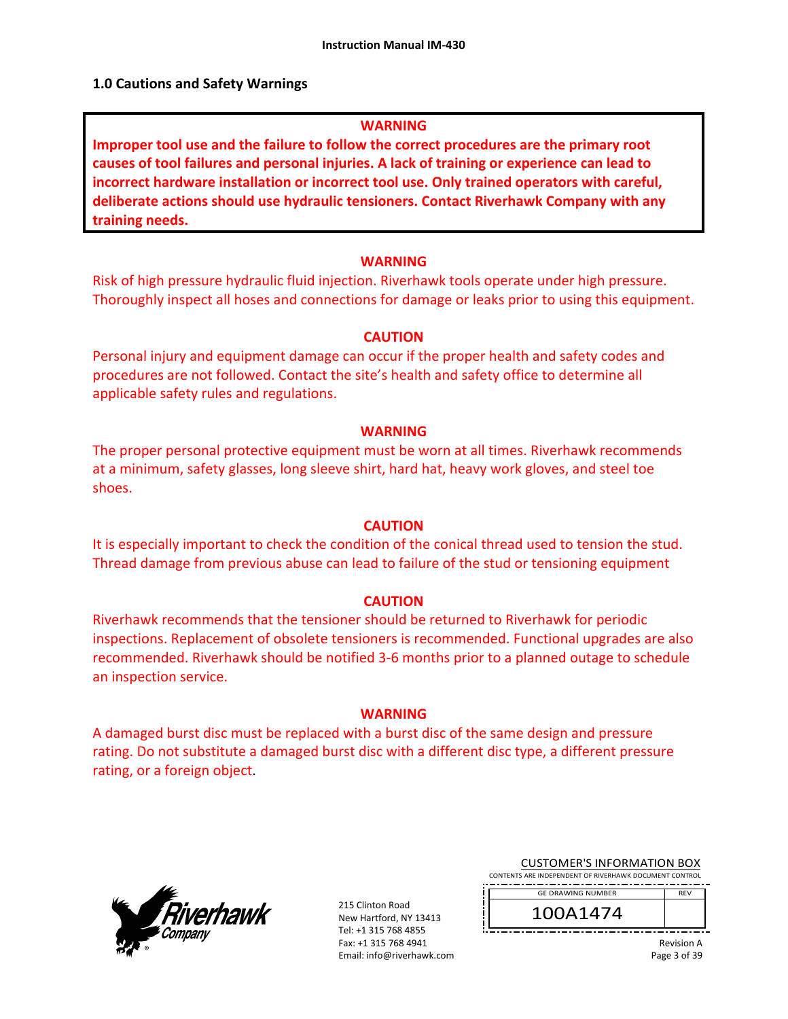#### **1.0 Cautions and Safety Warnings**

#### **WARNING**

**Improper tool use and the failure to follow the correct procedures are the primary root causes of tool failures and personal injuries. A lack of training or experience can lead to incorrect hardware installation or incorrect tool use. Only trained operators with careful, deliberate actions should use hydraulic tensioners. Contact Riverhawk Company with any training needs.** 

#### **WARNING**

Risk of high pressure hydraulic fluid injection. Riverhawk tools operate under high pressure. Thoroughly inspect all hoses and connections for damage or leaks prior to using this equipment.

#### **CAUTION**

Personal injury and equipment damage can occur if the proper health and safety codes and procedures are not followed. Contact the site's health and safety office to determine all applicable safety rules and regulations.

#### **WARNING**

The proper personal protective equipment must be worn at all times. Riverhawk recommends at a minimum, safety glasses, long sleeve shirt, hard hat, heavy work gloves, and steel toe shoes.

#### **CAUTION**

It is especially important to check the condition of the conical thread used to tension the stud. Thread damage from previous abuse can lead to failure of the stud or tensioning equipment

#### **CAUTION**

Riverhawk recommends that the tensioner should be returned to Riverhawk for periodic inspections. Replacement of obsolete tensioners is recommended. Functional upgrades are also recommended. Riverhawk should be notified 3‐6 months prior to a planned outage to schedule an inspection service.

#### **WARNING**

A damaged burst disc must be replaced with a burst disc of the same design and pressure rating. Do not substitute a damaged burst disc with a different disc type, a different pressure rating, or a foreign object.



215 Clinton Road New Hartford, NY 13413 Tel: +1 315 768 4855 Fax: +1 315 768 4941 Email: info@riverhawk.com

| <b>CUSTOMER'S INFORMATION BOX</b>                      |  |
|--------------------------------------------------------|--|
| CONTENTS ARE INDEPENDENT OF RIVERHAWK DOCUMENT CONTROL |  |

REV GE DRAWING NUMBER

100A1474

Revision A Page 3 of 39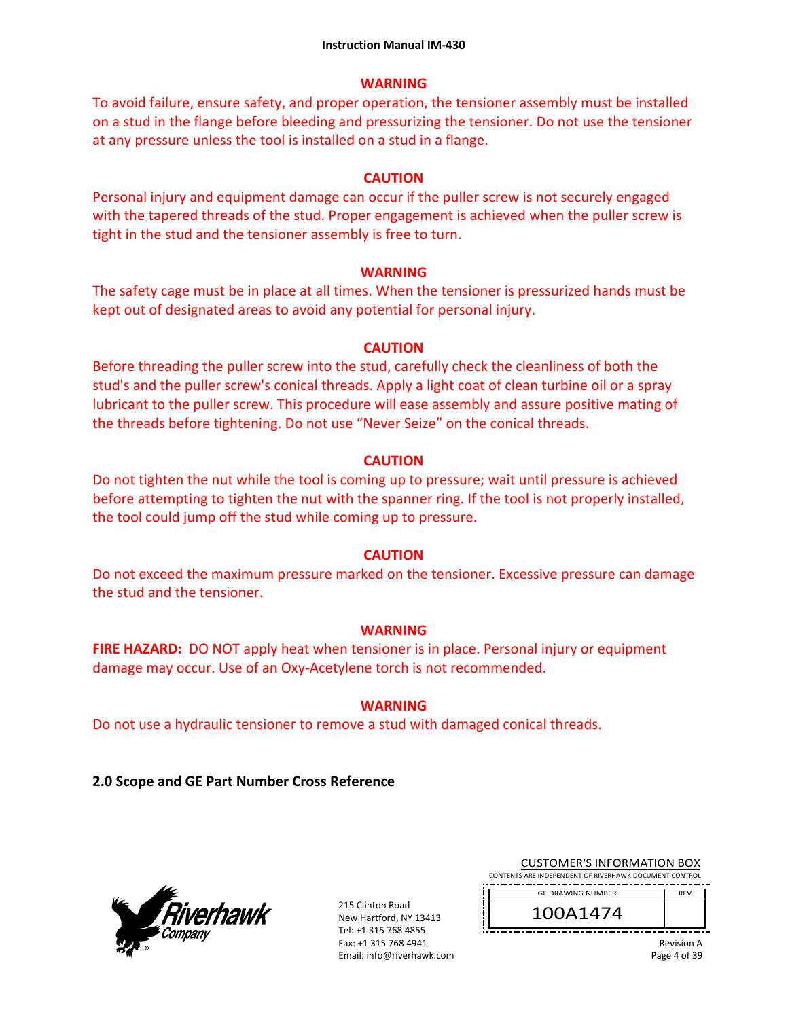### **WARNING**

To avoid failure, ensure safety, and proper operation, the tensioner assembly must be installed on a stud in the flange before bleeding and pressurizing the tensioner. Do not use the tensioner at any pressure unless the tool is installed on a stud in a flange.

### **CAUTION**

Personal injury and equipment damage can occur if the puller screw is not securely engaged with the tapered threads of the stud. Proper engagement is achieved when the puller screw is tight in the stud and the tensioner assembly is free to turn.

### **WARNING**

The safety cage must be in place at all times. When the tensioner is pressurized hands must be kept out of designated areas to avoid any potential for personal injury.

### **CAUTION**

Before threading the puller screw into the stud, carefully check the cleanliness of both the stud's and the puller screw's conical threads. Apply a light coat of clean turbine oil or a spray lubricant to the puller screw. This procedure will ease assembly and assure positive mating of the threads before tightening. Do not use "Never Seize" on the conical threads.

### **CAUTION**

Do not tighten the nut while the tool is coming up to pressure; wait until pressure is achieved before attempting to tighten the nut with the spanner ring. If the tool is not properly installed, the tool could jump off the stud while coming up to pressure.

# **CAUTION**

Do not exceed the maximum pressure marked on the tensioner. Excessive pressure can damage the stud and the tensioner.

# **WARNING**

**FIRE HAZARD:** DO NOT apply heat when tensioner is in place. Personal injury or equipment damage may occur. Use of an Oxy‐Acetylene torch is not recommended.

# **WARNING**

Do not use a hydraulic tensioner to remove a stud with damaged conical threads.

**2.0 Scope and GE Part Number Cross Reference** 



215 Clinton Road New Hartford, NY 13413 Tel: +1 315 768 4855 Fax: +1 315 768 4941 Email: info@riverhawk.com

| <b>CUSTOMER'S INFORMATION BOX</b>                  |  |
|----------------------------------------------------|--|
| INTE ADE INDEDENDENT OF DIVEDHAWK DOCHMENT CONTROL |  |

CONTENTS ARE INDEPENDENT OF RIVERHAWK DOCUMENT CONTROL REV GE DRAWING NUMBER

Revision A Page 4 of 39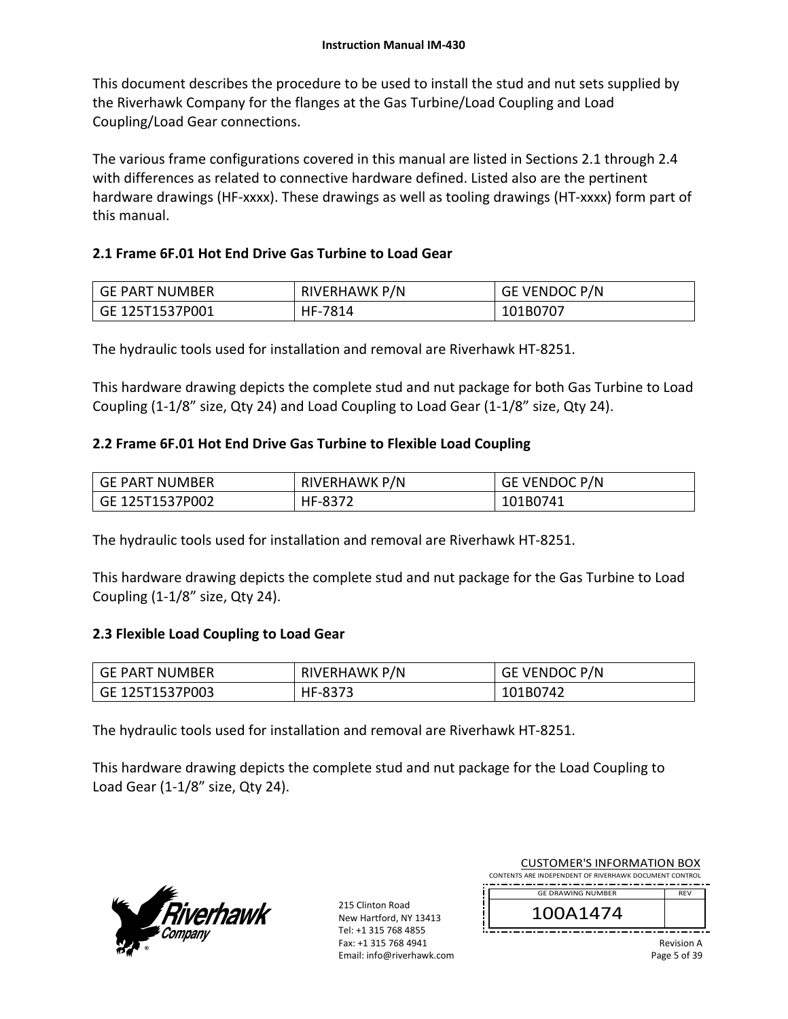This document describes the procedure to be used to install the stud and nut sets supplied by the Riverhawk Company for the flanges at the Gas Turbine/Load Coupling and Load Coupling/Load Gear connections.

The various frame configurations covered in this manual are listed in Sections 2.1 through 2.4 with differences as related to connective hardware defined. Listed also are the pertinent hardware drawings (HF-xxxx). These drawings as well as tooling drawings (HT-xxxx) form part of this manual.

### **2.1 Frame 6F.01 Hot End Drive Gas Turbine to Load Gear**

| GE PART NUMBER  | RIVERHAWK P/N | GE VENDOC P/N |
|-----------------|---------------|---------------|
| GE 125T1537P001 | HF-7814       | 101B0707      |

The hydraulic tools used for installation and removal are Riverhawk HT‐8251.

This hardware drawing depicts the complete stud and nut package for both Gas Turbine to Load Coupling (1‐1/8" size, Qty 24) and Load Coupling to Load Gear (1‐1/8" size, Qty 24).

### **2.2 Frame 6F.01 Hot End Drive Gas Turbine to Flexible Load Coupling**

| GE PART NUMBER  | <b>RIVERHAWK P/N</b> | GE VENDOC P/N |
|-----------------|----------------------|---------------|
| GE 125T1537P002 | HF-8372              | 101B0741      |

The hydraulic tools used for installation and removal are Riverhawk HT‐8251.

This hardware drawing depicts the complete stud and nut package for the Gas Turbine to Load Coupling (1‐1/8" size, Qty 24).

### **2.3 Flexible Load Coupling to Load Gear**

| <b>GE PART NUMBER</b> | RIVERHAWK P/N | GE VENDOC P/N |
|-----------------------|---------------|---------------|
| GE 125T1537P003       | HF-8373       | 101B0742      |

The hydraulic tools used for installation and removal are Riverhawk HT‐8251.

This hardware drawing depicts the complete stud and nut package for the Load Coupling to Load Gear (1‐1/8" size, Qty 24).



| <b>CUSTOMER'S INFORMATION BOX</b><br>CONTENTS ARE INDEPENDENT OF RIVERHAWK DOCUMENT CONTROL |            |
|---------------------------------------------------------------------------------------------|------------|
| <b>GE DRAWING NUMBER</b>                                                                    | <b>RFV</b> |
| 100A1474                                                                                    |            |
|                                                                                             | Dovicion A |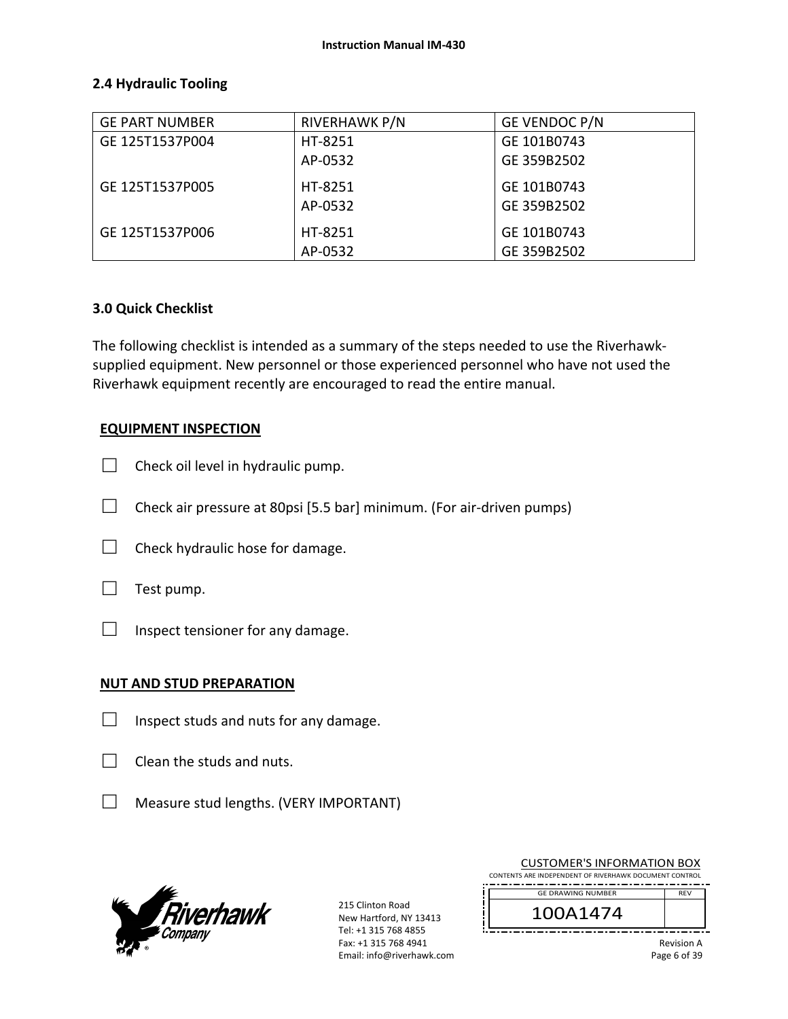### **2.4 Hydraulic Tooling**

| <b>GE PART NUMBER</b> | RIVERHAWK P/N | GE VENDOC P/N |
|-----------------------|---------------|---------------|
| GE 125T1537P004       | HT-8251       | GE 101B0743   |
|                       | AP-0532       | GE 359B2502   |
| GE 125T1537P005       | HT-8251       | GE 101B0743   |
|                       | AP-0532       | GE 359B2502   |
| GE 125T1537P006       | HT-8251       | GE 101B0743   |
|                       | AP-0532       | GE 359B2502   |

### **3.0 Quick Checklist**

The following checklist is intended as a summary of the steps needed to use the Riverhawk‐ supplied equipment. New personnel or those experienced personnel who have not used the Riverhawk equipment recently are encouraged to read the entire manual.

### **EQUIPMENT INSPECTION**

- $\Box$  Check oil level in hydraulic pump.
- $\Box$  Check air pressure at 80psi [5.5 bar] minimum. (For air-driven pumps)
- $\Box$  Check hydraulic hose for damage.



 $\Box$  Inspect tensioner for any damage.

### **NUT AND STUD PREPARATION**

- $\Box$  Inspect studs and nuts for any damage.
- $\Box$  Clean the studs and nuts.
- □ Measure stud lengths. (VERY IMPORTANT)



215 Clinton Road New Hartford, NY 13413 Tel: +1 315 768 4855 Fax: +1 315 768 4941 Email: info@riverhawk.com

| CONTENTS ARE INDEPENDENT OF RIVERHAWK DOCUMENT CONTROL |            |
|--------------------------------------------------------|------------|
| <b>GE DRAWING NUMBER</b>                               | <b>RFV</b> |
|                                                        |            |
| 100A1474                                               |            |

CUSTOMER'S INFORMATION BOX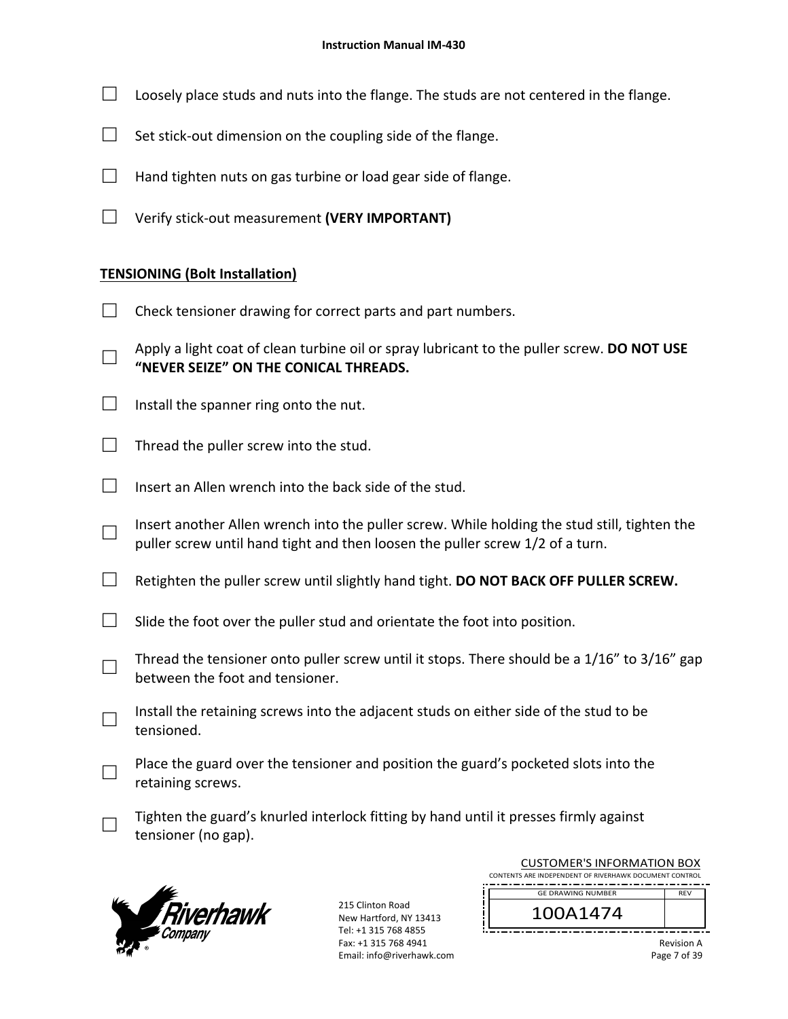- $\Box$  Loosely place studs and nuts into the flange. The studs are not centered in the flange.
- $\Box$  Set stick-out dimension on the coupling side of the flange.
- $\Box$  Hand tighten nuts on gas turbine or load gear side of flange.
- □ Verify stick‐out measurement **(VERY IMPORTANT)**

### **TENSIONING (Bolt Installation)**

- $\Box$  Check tensioner drawing for correct parts and part numbers.
- □ Apply a light coat of clean turbine oil or spray lubricant to the puller screw. **DO NOT USE "NEVER SEIZE" ON THE CONICAL THREADS.**
- $\Box$  Install the spanner ring onto the nut.
- $\Box$  Thread the puller screw into the stud.
- $\Box$  Insert an Allen wrench into the back side of the stud.
- □ Insert another Allen wrench into the puller screw. While holding the stud still, tighten the puller screw until hand tight and then loosen the puller screw 1/2 of a turn.
- □ Retighten the puller screw until slightly hand tight. **DO NOT BACK OFF PULLER SCREW.**
- $\Box$  Slide the foot over the puller stud and orientate the foot into position.
- □ Thread the tensioner onto puller screw until it stops. There should be a 1/16" to 3/16" gap between the foot and tensioner.
- □ Install the retaining screws into the adjacent studs on either side of the stud to be tensioned.
- □ Place the guard over the tensioner and position the guard's pocketed slots into the retaining screws.
- □ Tighten the guard's knurled interlock fitting by hand until it presses firmly against tensioner (no gap).



215 Clinton Road New Hartford, NY 13413 Tel: +1 315 768 4855 Fax: +1 315 768 4941 Email: info@riverhawk.com

| 100A1474                                               |            |  |
|--------------------------------------------------------|------------|--|
| <b>GE DRAWING NUMBER</b>                               | <b>RFV</b> |  |
| CONTENTS ARE INDEPENDENT OF RIVERHAWK DOCUMENT CONTROL |            |  |
| COSTOMEN STRI ONMATION DOA                             |            |  |

CUSTOMER'S INFORMATION BOX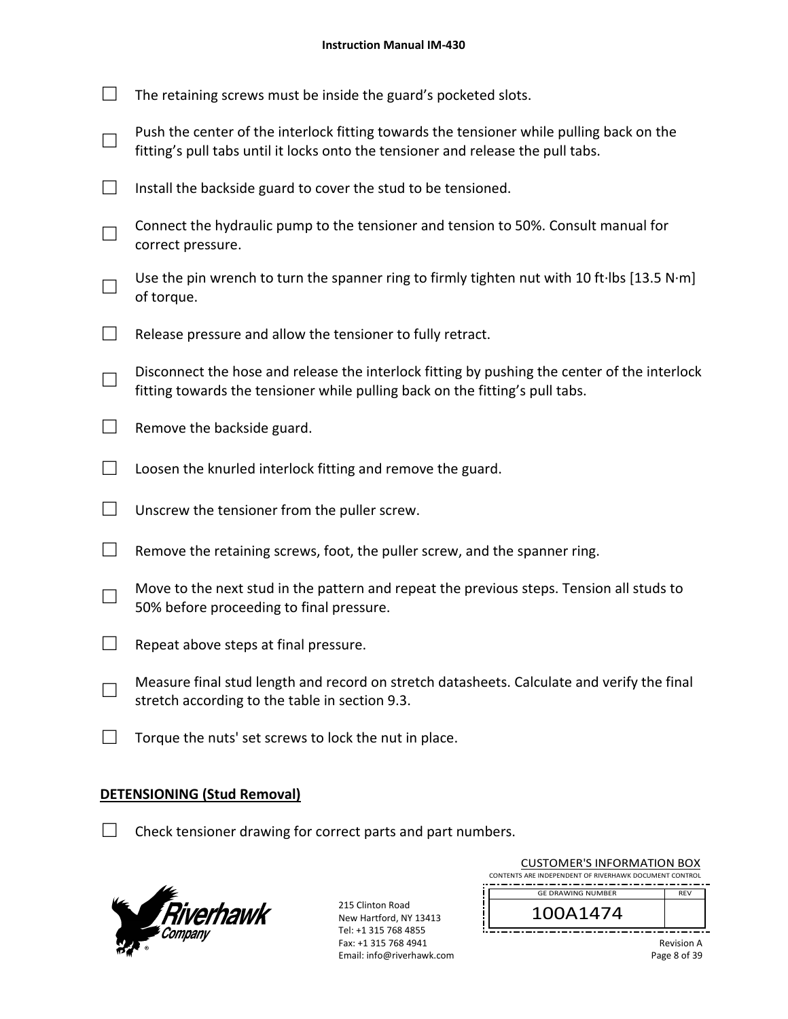| The retaining screws must be inside the guard's pocketed slots.                                                                                                              |
|------------------------------------------------------------------------------------------------------------------------------------------------------------------------------|
| Push the center of the interlock fitting towards the tensioner while pulling back on the<br>fitting's pull tabs until it locks onto the tensioner and release the pull tabs. |
| Install the backside guard to cover the stud to be tensioned.                                                                                                                |
| Connect the hydraulic pump to the tensioner and tension to 50%. Consult manual for<br>correct pressure.                                                                      |
| Use the pin wrench to turn the spanner ring to firmly tighten nut with 10 ft·lbs [13.5 N·m]<br>of torque.                                                                    |
| Release pressure and allow the tensioner to fully retract.                                                                                                                   |
| Disconnect the hose and release the interlock fitting by pushing the center of the interlock<br>fitting towards the tensioner while pulling back on the fitting's pull tabs. |
| Remove the backside guard.                                                                                                                                                   |
| Loosen the knurled interlock fitting and remove the guard.                                                                                                                   |
| Unscrew the tensioner from the puller screw.                                                                                                                                 |
| Remove the retaining screws, foot, the puller screw, and the spanner ring.                                                                                                   |
| Move to the next stud in the pattern and repeat the previous steps. Tension all studs to<br>50% before proceeding to final pressure.                                         |
| Repeat above steps at final pressure.                                                                                                                                        |
| Measure final stud length and record on stretch datasheets. Calculate and verify the final<br>stretch according to the table in section 9.3.                                 |
| Torque the nuts' set screws to lock the nut in place.                                                                                                                        |
|                                                                                                                                                                              |

# **DETENSIONING (Stud Removal)**

 $\Box$  Check tensioner drawing for correct parts and part numbers.



| <b>CUSTOMER'S INFORMATION BOX</b><br>CONTENTS ARE INDEPENDENT OF RIVERHAWK DOCUMENT CONTROL |                   |  |
|---------------------------------------------------------------------------------------------|-------------------|--|
| <b>GE DRAWING NUMBER</b>                                                                    | <b>RFV</b>        |  |
| 100A1474                                                                                    |                   |  |
|                                                                                             | <b>Dovicion</b> A |  |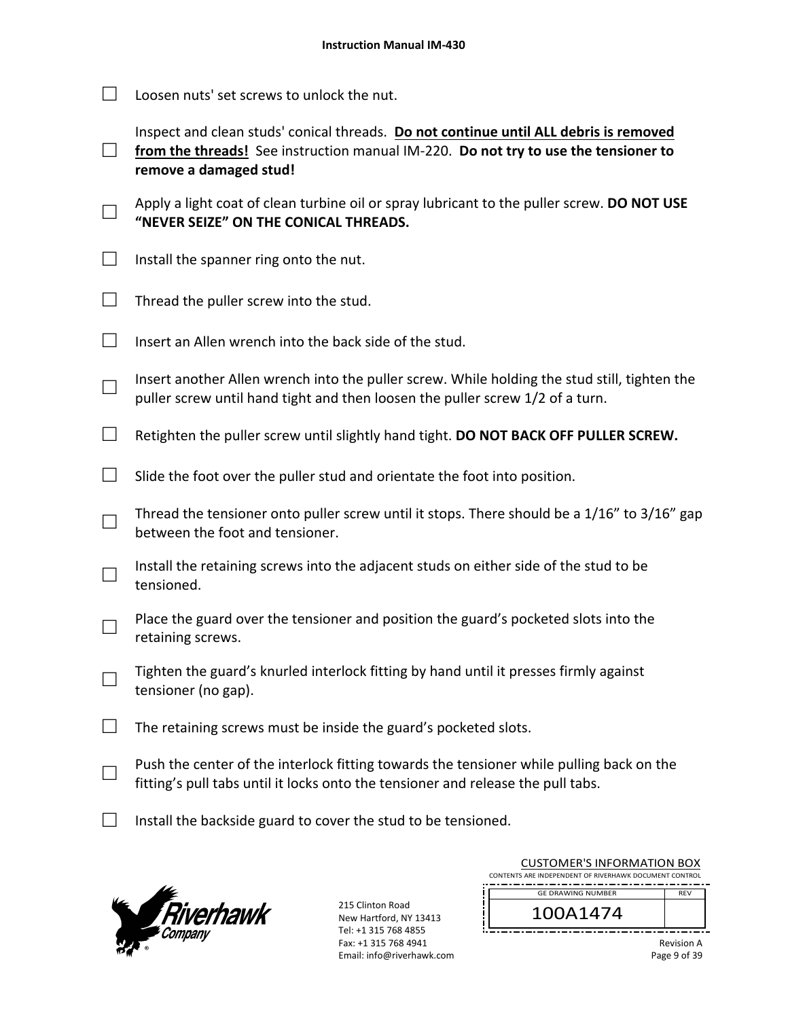$\Box$  Loosen nuts' set screws to unlock the nut.

□ from the threads! See instruction manual IM-220. **Do not try to use the tensioner to** Inspect and clean studs' conical threads. **Do not continue until ALL debris is removed remove a damaged stud!** 

- □ Apply a light coat of clean turbine oil or spray lubricant to the puller screw. **DO NOT USE "NEVER SEIZE" ON THE CONICAL THREADS.**
- $\Box$  Install the spanner ring onto the nut.
- $\Box$  Thread the puller screw into the stud.
- $\Box$  Insert an Allen wrench into the back side of the stud.
- □ Insert another Allen wrench into the puller screw. While holding the stud still, tighten the puller screw until hand tight and then loosen the puller screw 1/2 of a turn.
- □ Retighten the puller screw until slightly hand tight. **DO NOT BACK OFF PULLER SCREW.**
- $\Box$  Slide the foot over the puller stud and orientate the foot into position.
- □ Thread the tensioner onto puller screw until it stops. There should be a 1/16" to 3/16" gap between the foot and tensioner.
- □ Install the retaining screws into the adjacent studs on either side of the stud to be tensioned.
- □ Place the guard over the tensioner and position the guard's pocketed slots into the retaining screws.
- □ Tighten the guard's knurled interlock fitting by hand until it presses firmly against tensioner (no gap).
- $\Box$  The retaining screws must be inside the guard's pocketed slots.
- □ Push the center of the interlock fitting towards the tensioner while pulling back on the fitting's pull tabs until it locks onto the tensioner and release the pull tabs.
- $\Box$  Install the backside guard to cover the stud to be tensioned.



215 Clinton Road New Hartford, NY 13413 Tel: +1 315 768 4855 Fax: +1 315 768 4941 Email: info@riverhawk.com

| CONTENTS ARE INDEPENDENT OF RIVERHAWK DOCUMENT CONTROL<br><b>GE DRAWING NUMBER</b><br><b>RFV</b><br>100A1474 | CUSTUIVIEN 3 INFUNIVIATIUIN BUA |  |  |  |
|--------------------------------------------------------------------------------------------------------------|---------------------------------|--|--|--|
|                                                                                                              |                                 |  |  |  |
|                                                                                                              |                                 |  |  |  |
|                                                                                                              |                                 |  |  |  |
|                                                                                                              |                                 |  |  |  |

CUSTOMER'S INFORMATION BOY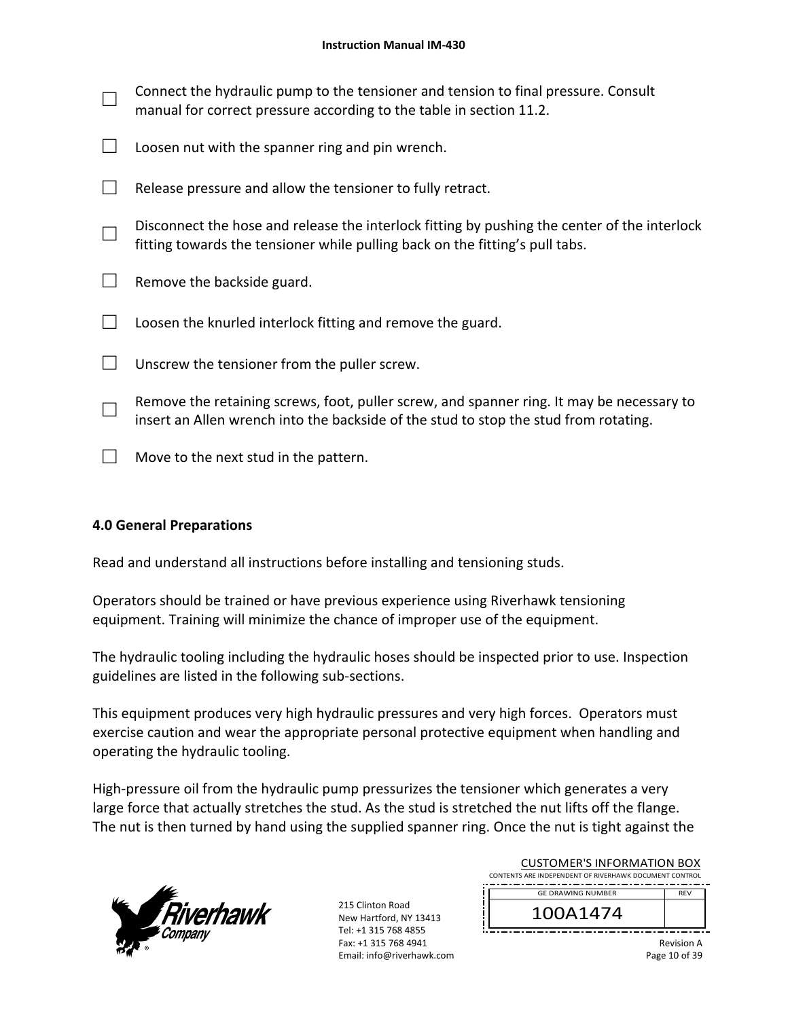| Connect the hydraulic pump to the tensioner and tension to final pressure. Consult<br>manual for correct pressure according to the table in section 11.2.                         |
|-----------------------------------------------------------------------------------------------------------------------------------------------------------------------------------|
| Loosen nut with the spanner ring and pin wrench.                                                                                                                                  |
| Release pressure and allow the tensioner to fully retract.                                                                                                                        |
| Disconnect the hose and release the interlock fitting by pushing the center of the interlock<br>fitting towards the tensioner while pulling back on the fitting's pull tabs.      |
| Remove the backside guard.                                                                                                                                                        |
| Loosen the knurled interlock fitting and remove the guard.                                                                                                                        |
| Unscrew the tensioner from the puller screw.                                                                                                                                      |
| Remove the retaining screws, foot, puller screw, and spanner ring. It may be necessary to<br>insert an Allen wrench into the backside of the stud to stop the stud from rotating. |
| Move to the next stud in the pattern.                                                                                                                                             |

### **4.0 General Preparations**

Read and understand all instructions before installing and tensioning studs.

Operators should be trained or have previous experience using Riverhawk tensioning equipment. Training will minimize the chance of improper use of the equipment.

The hydraulic tooling including the hydraulic hoses should be inspected prior to use. Inspection guidelines are listed in the following sub‐sections.

This equipment produces very high hydraulic pressures and very high forces. Operators must exercise caution and wear the appropriate personal protective equipment when handling and operating the hydraulic tooling.

High-pressure oil from the hydraulic pump pressurizes the tensioner which generates a very large force that actually stretches the stud. As the stud is stretched the nut lifts off the flange. The nut is then turned by hand using the supplied spanner ring. Once the nut is tight against the



| <b>CUSTOMER'S INFORMATION BOX</b><br>CONTENTS ARE INDEPENDENT OF RIVERHAWK DOCUMENT CONTROL |                          |            |  |
|---------------------------------------------------------------------------------------------|--------------------------|------------|--|
|                                                                                             | <b>GE DRAWING NUMBER</b> | <b>RFV</b> |  |
|                                                                                             | 100A1474                 |            |  |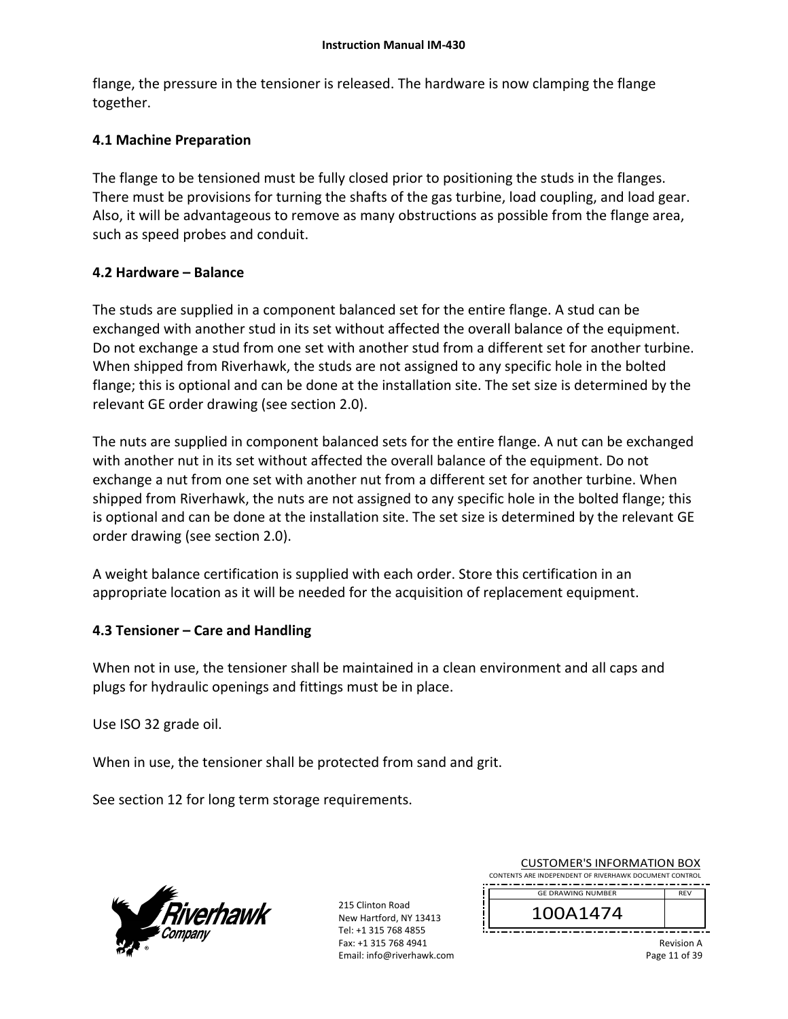flange, the pressure in the tensioner is released. The hardware is now clamping the flange together.

# **4.1 Machine Preparation**

The flange to be tensioned must be fully closed prior to positioning the studs in the flanges. There must be provisions for turning the shafts of the gas turbine, load coupling, and load gear. Also, it will be advantageous to remove as many obstructions as possible from the flange area, such as speed probes and conduit.

### **4.2 Hardware – Balance**

The studs are supplied in a component balanced set for the entire flange. A stud can be exchanged with another stud in its set without affected the overall balance of the equipment. Do not exchange a stud from one set with another stud from a different set for another turbine. When shipped from Riverhawk, the studs are not assigned to any specific hole in the bolted flange; this is optional and can be done at the installation site. The set size is determined by the relevant GE order drawing (see section 2.0).

The nuts are supplied in component balanced sets for the entire flange. A nut can be exchanged with another nut in its set without affected the overall balance of the equipment. Do not exchange a nut from one set with another nut from a different set for another turbine. When shipped from Riverhawk, the nuts are not assigned to any specific hole in the bolted flange; this is optional and can be done at the installation site. The set size is determined by the relevant GE order drawing (see section 2.0).

A weight balance certification is supplied with each order. Store this certification in an appropriate location as it will be needed for the acquisition of replacement equipment.

# **4.3 Tensioner – Care and Handling**

When not in use, the tensioner shall be maintained in a clean environment and all caps and plugs for hydraulic openings and fittings must be in place.

Use ISO 32 grade oil.

When in use, the tensioner shall be protected from sand and grit.

See section 12 for long term storage requirements.



215 Clinton Road New Hartford, NY 13413 Tel: +1 315 768 4855 Fax: +1 315 768 4941 Email: info@riverhawk.com

| COSTOINIEINS INTOINIATION DOM                          |            |  |  |
|--------------------------------------------------------|------------|--|--|
| CONTENTS ARE INDEPENDENT OF RIVERHAWK DOCUMENT CONTROL |            |  |  |
|                                                        |            |  |  |
| <b>GE DRAWING NUMBER</b>                               | <b>RFV</b> |  |  |
|                                                        |            |  |  |
| 100A1474                                               |            |  |  |
|                                                        |            |  |  |
|                                                        |            |  |  |
|                                                        |            |  |  |

CUSTOMER'S INFORMATION BOX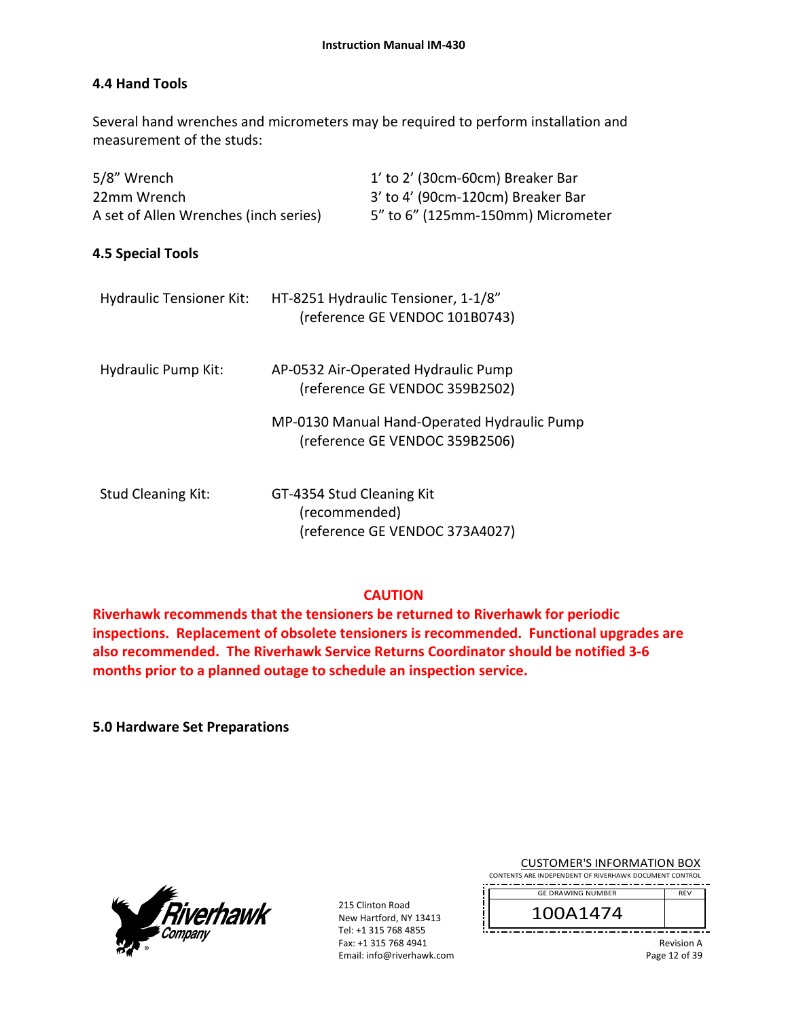### **4.4 Hand Tools**

Several hand wrenches and micrometers may be required to perform installation and measurement of the studs:

| 5/8" Wrench                           | 1' to 2' (30cm-60cm) Breaker Bar                                              |
|---------------------------------------|-------------------------------------------------------------------------------|
| 22mm Wrench                           | 3' to 4' (90cm-120cm) Breaker Bar                                             |
| A set of Allen Wrenches (inch series) | 5" to 6" (125mm-150mm) Micrometer                                             |
| 4.5 Special Tools                     |                                                                               |
| <b>Hydraulic Tensioner Kit:</b>       | HT-8251 Hydraulic Tensioner, 1-1/8"<br>(reference GE VENDOC 101B0743)         |
| Hydraulic Pump Kit:                   | AP-0532 Air-Operated Hydraulic Pump<br>(reference GE VENDOC 359B2502)         |
|                                       | MP-0130 Manual Hand-Operated Hydraulic Pump<br>(reference GE VENDOC 359B2506) |
| <b>Stud Cleaning Kit:</b>             | GT-4354 Stud Cleaning Kit<br>(recommended)<br>(reference GE VENDOC 373A4027)  |

### **CAUTION**

**Riverhawk recommends that the tensioners be returned to Riverhawk for periodic inspections. Replacement of obsolete tensioners is recommended. Functional upgrades are also recommended. The Riverhawk Service Returns Coordinator should be notified 3‐6 months prior to a planned outage to schedule an inspection service.** 

**5.0 Hardware Set Preparations**



215 Clinton Road New Hartford, NY 13413 Tel: +1 315 768 4855 Fax: +1 315 768 4941 Email: info@riverhawk.com

| <b>CUSTOMER'S INFORMATION BOX</b>                         |
|-----------------------------------------------------------|
| <b>UTC ARE INDERENDENT OF BIVERHAMIK DOCUMENT CONTROL</b> |

CONTENTS A REV GE DRAWING NUMBER

100A1474

Revision A Page 12 of 39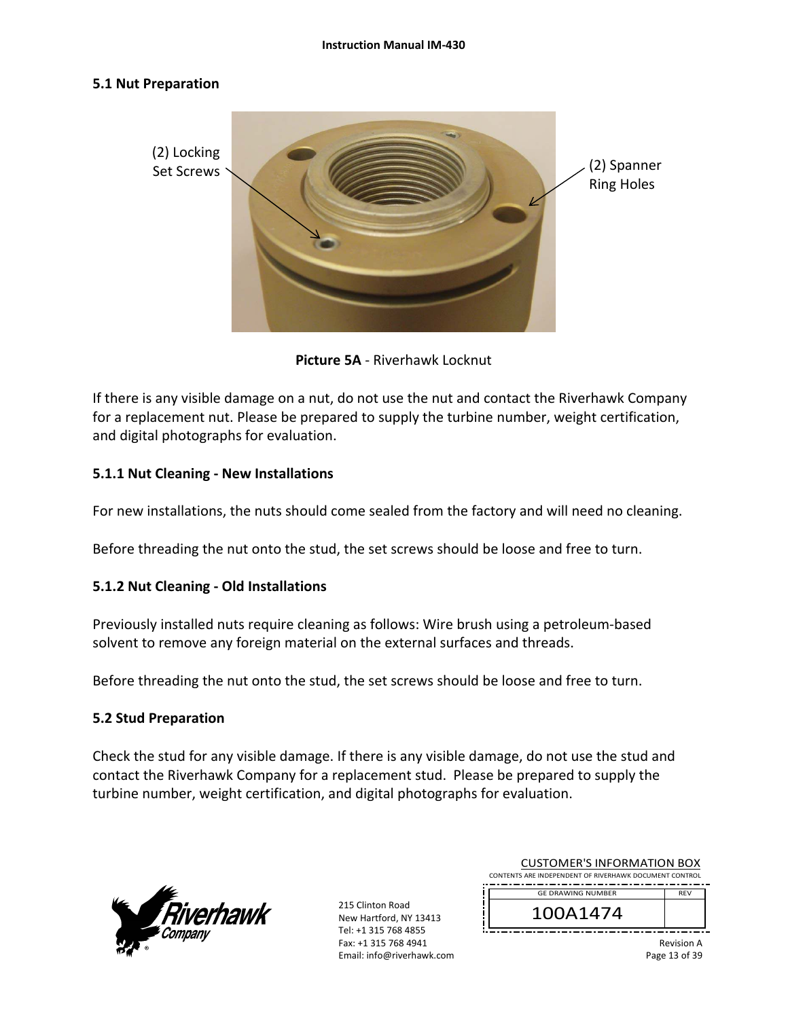#### **5.1 Nut Preparation**



**Picture 5A** ‐ Riverhawk Locknut

If there is any visible damage on a nut, do not use the nut and contact the Riverhawk Company for a replacement nut. Please be prepared to supply the turbine number, weight certification, and digital photographs for evaluation.

### **5.1.1 Nut Cleaning ‐ New Installations**

For new installations, the nuts should come sealed from the factory and will need no cleaning.

Before threading the nut onto the stud, the set screws should be loose and free to turn.

### **5.1.2 Nut Cleaning ‐ Old Installations**

Previously installed nuts require cleaning as follows: Wire brush using a petroleum‐based solvent to remove any foreign material on the external surfaces and threads.

Before threading the nut onto the stud, the set screws should be loose and free to turn.

### **5.2 Stud Preparation**

Check the stud for any visible damage. If there is any visible damage, do not use the stud and contact the Riverhawk Company for a replacement stud. Please be prepared to supply the turbine number, weight certification, and digital photographs for evaluation.



215 Clinton Road New Hartford, NY 13413 Tel: +1 315 768 4855 Fax: +1 315 768 4941 Email: info@riverhawk.com

| 100A1474                                               |            |  |  |  |
|--------------------------------------------------------|------------|--|--|--|
| <b>GE DRAWING NUMBER</b>                               | <b>RFV</b> |  |  |  |
| CONTENTS ARE INDEPENDENT OF RIVERHAWK DOCUMENT CONTROL |            |  |  |  |
| CUSTUIVIEN 3 INFUNIVIATIUIN BUA                        |            |  |  |  |

CUSTOMER'S INFORMATION BOY

Revision A Page 13 of 39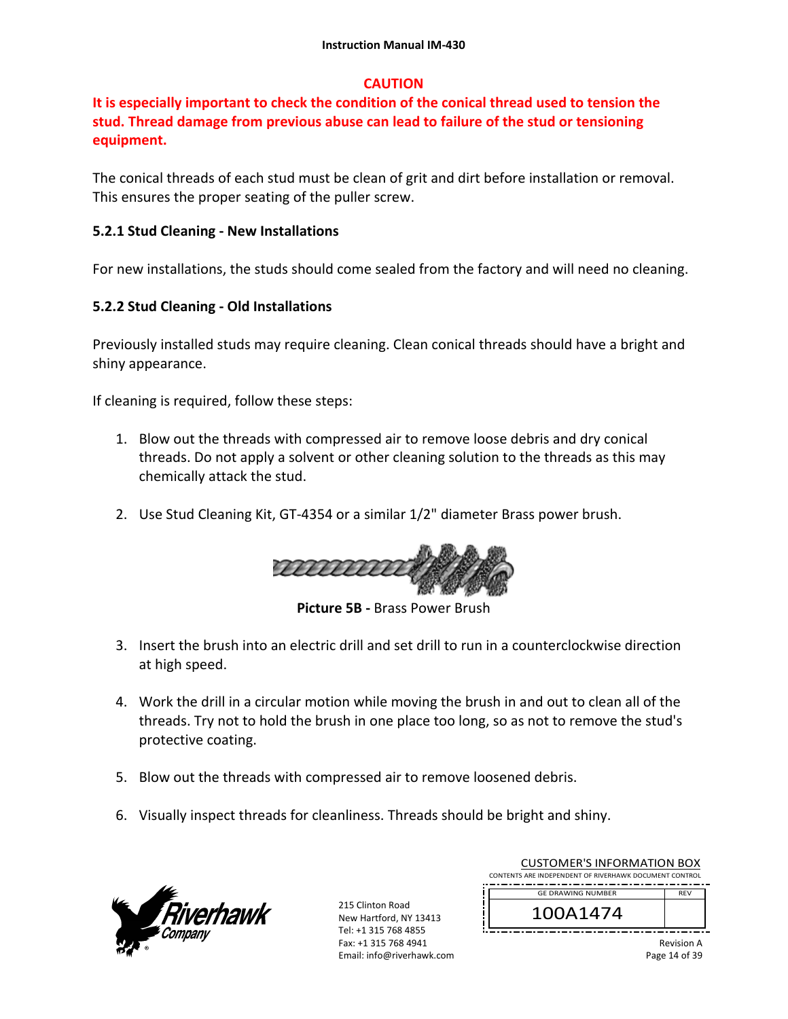# **CAUTION**

# **It is especially important to check the condition of the conical thread used to tension the stud. Thread damage from previous abuse can lead to failure of the stud or tensioning equipment.**

The conical threads of each stud must be clean of grit and dirt before installation or removal. This ensures the proper seating of the puller screw.

### **5.2.1 Stud Cleaning ‐ New Installations**

For new installations, the studs should come sealed from the factory and will need no cleaning.

### **5.2.2 Stud Cleaning ‐ Old Installations**

Previously installed studs may require cleaning. Clean conical threads should have a bright and shiny appearance.

If cleaning is required, follow these steps:

- 1. Blow out the threads with compressed air to remove loose debris and dry conical threads. Do not apply a solvent or other cleaning solution to the threads as this may chemically attack the stud.
- 2. Use Stud Cleaning Kit, GT‐4354 or a similar 1/2" diameter Brass power brush.



**Picture 5B ‐** Brass Power Brush

- 3. Insert the brush into an electric drill and set drill to run in a counterclockwise direction at high speed.
- 4. Work the drill in a circular motion while moving the brush in and out to clean all of the threads. Try not to hold the brush in one place too long, so as not to remove the stud's protective coating.
- 5. Blow out the threads with compressed air to remove loosened debris.
- 6. Visually inspect threads for cleanliness. Threads should be bright and shiny.



215 Clinton Road New Hartford, NY 13413 Tel: +1 315 768 4855 Fax: +1 315 768 4941 Email: info@riverhawk.com

| COSTOIVIER 3 INTORIVIATION DOA<br>CONTENTS ARE INDEPENDENT OF RIVERHAWK DOCUMENT CONTROL |            |
|------------------------------------------------------------------------------------------|------------|
| <b>GE DRAWING NUMBER</b>                                                                 | <b>RFV</b> |
| 100A1474                                                                                 |            |
|                                                                                          | $D = 1$    |

CUSTOMER'S INFORMATION BOY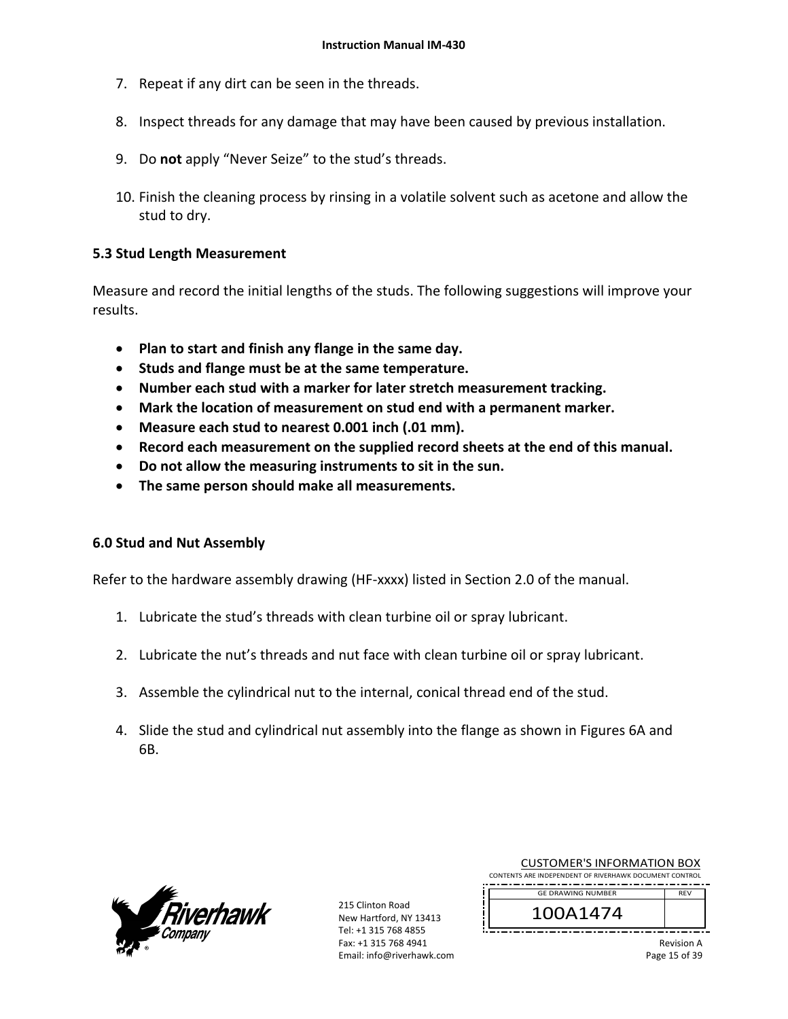- 7. Repeat if any dirt can be seen in the threads.
- 8. Inspect threads for any damage that may have been caused by previous installation.
- 9. Do **not** apply "Never Seize" to the stud's threads.
- 10. Finish the cleaning process by rinsing in a volatile solvent such as acetone and allow the stud to dry.

### **5.3 Stud Length Measurement**

Measure and record the initial lengths of the studs. The following suggestions will improve your results.

- **Plan to start and finish any flange in the same day.**
- **Studs and flange must be at the same temperature.**
- **Number each stud with a marker for later stretch measurement tracking.**
- **Mark the location of measurement on stud end with a permanent marker.**
- **Measure each stud to nearest 0.001 inch (.01 mm).**
- **Record each measurement on the supplied record sheets at the end of this manual.**
- **Do not allow the measuring instruments to sit in the sun.**
- **The same person should make all measurements.**

### **6.0 Stud and Nut Assembly**

Refer to the hardware assembly drawing (HF‐xxxx) listed in Section 2.0 of the manual.

- 1. Lubricate the stud's threads with clean turbine oil or spray lubricant.
- 2. Lubricate the nut's threads and nut face with clean turbine oil or spray lubricant.
- 3. Assemble the cylindrical nut to the internal, conical thread end of the stud.
- 4. Slide the stud and cylindrical nut assembly into the flange as shown in Figures 6A and 6B.



215 Clinton Road New Hartford, NY 13413 Tel: +1 315 768 4855 Fax: +1 315 768 4941 Email: info@riverhawk.com

| CONTENTS ARE INDEPENDENT OF RIVERHAWK DOCUMENT CONTROL |            |
|--------------------------------------------------------|------------|
| <b>GE DRAWING NUMBER</b>                               | <b>RFV</b> |
| 100A1474                                               |            |
|                                                        | .          |

CUSTOMER'S INFORMATION BOX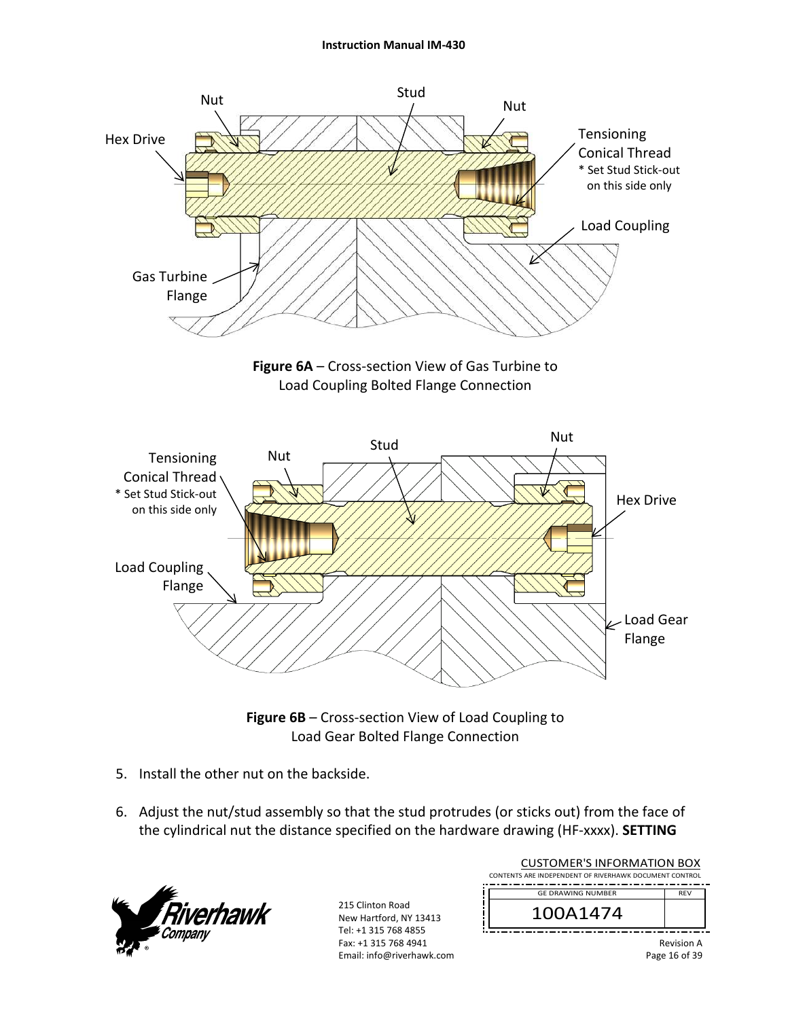







- 5. Install the other nut on the backside.
- 6. Adjust the nut/stud assembly so that the stud protrudes (or sticks out) from the face of the cylindrical nut the distance specified on the hardware drawing (HF‐xxxx). **SETTING**



| <b>CUSTOMER'S INFORMATION BOX</b><br>CONTENTS ARE INDEPENDENT OF RIVERHAWK DOCUMENT CONTROL |                   |
|---------------------------------------------------------------------------------------------|-------------------|
| <b>GE DRAWING NUMBER</b>                                                                    | <b>RFV</b>        |
| 100A1474                                                                                    |                   |
|                                                                                             | <b>Dovision A</b> |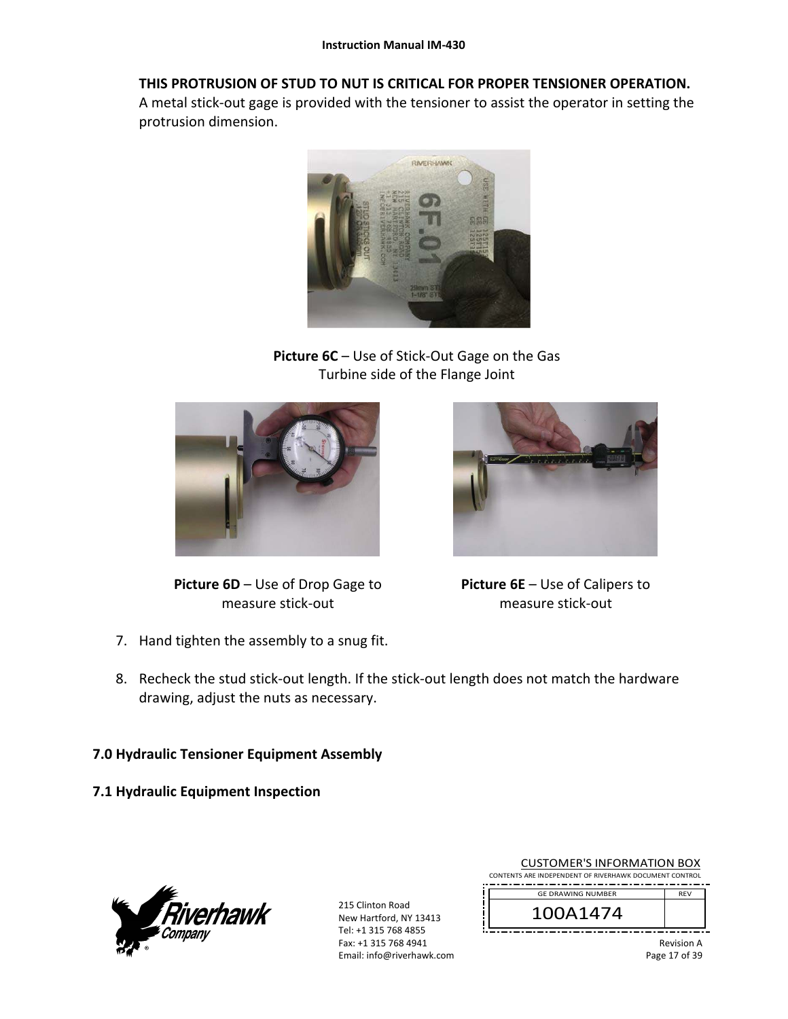### **THIS PROTRUSION OF STUD TO NUT IS CRITICAL FOR PROPER TENSIONER OPERATION.**

A metal stick‐out gage is provided with the tensioner to assist the operator in setting the protrusion dimension.



**Picture 6C** – Use of Stick‐Out Gage on the Gas Turbine side of the Flange Joint



**Picture 6D** – Use of Drop Gage to measure stick‐out



**Picture 6E** – Use of Calipers to measure stick‐out

- 7. Hand tighten the assembly to a snug fit.
- 8. Recheck the stud stick-out length. If the stick-out length does not match the hardware drawing, adjust the nuts as necessary.

# **7.0 Hydraulic Tensioner Equipment Assembly**

**7.1 Hydraulic Equipment Inspection** 



215 Clinton Road New Hartford, NY 13413 Tel: +1 315 768 4855 Fax: +1 315 768 4941 Email: info@riverhawk.com

| <b>CUSTOMER'S INFORMATION BOX</b>                      |
|--------------------------------------------------------|
| CONTENTS ARE INDEPENDENT OF RIVERHAWK DOCUMENT CONTROL |
|                                                        |



Revision A Page 17 of 39

REV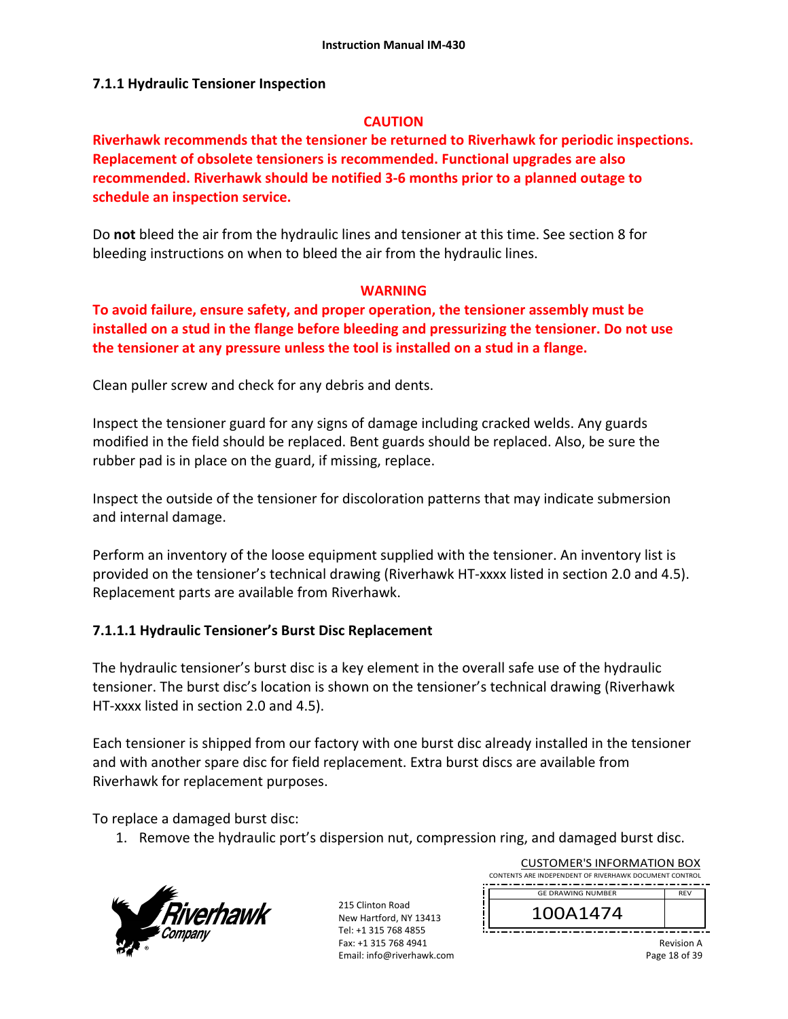#### **7.1.1 Hydraulic Tensioner Inspection**

#### **CAUTION**

**Riverhawk recommends that the tensioner be returned to Riverhawk for periodic inspections. Replacement of obsolete tensioners is recommended. Functional upgrades are also recommended. Riverhawk should be notified 3‐6 months prior to a planned outage to schedule an inspection service.** 

Do **not** bleed the air from the hydraulic lines and tensioner at this time. See section 8 for bleeding instructions on when to bleed the air from the hydraulic lines.

#### **WARNING**

**To avoid failure, ensure safety, and proper operation, the tensioner assembly must be installed on a stud in the flange before bleeding and pressurizing the tensioner. Do not use the tensioner at any pressure unless the tool is installed on a stud in a flange.** 

Clean puller screw and check for any debris and dents.

Inspect the tensioner guard for any signs of damage including cracked welds. Any guards modified in the field should be replaced. Bent guards should be replaced. Also, be sure the rubber pad is in place on the guard, if missing, replace.

Inspect the outside of the tensioner for discoloration patterns that may indicate submersion and internal damage.

Perform an inventory of the loose equipment supplied with the tensioner. An inventory list is provided on the tensioner's technical drawing (Riverhawk HT‐xxxx listed in section 2.0 and 4.5). Replacement parts are available from Riverhawk.

### **7.1.1.1 Hydraulic Tensioner's Burst Disc Replacement**

The hydraulic tensioner's burst disc is a key element in the overall safe use of the hydraulic tensioner. The burst disc's location is shown on the tensioner's technical drawing (Riverhawk HT‐xxxx listed in section 2.0 and 4.5).

Each tensioner is shipped from our factory with one burst disc already installed in the tensioner and with another spare disc for field replacement. Extra burst discs are available from Riverhawk for replacement purposes.

To replace a damaged burst disc:

1. Remove the hydraulic port's dispersion nut, compression ring, and damaged burst disc.



215 Clinton Road New Hartford, NY 13413 Tel: +1 315 768 4855 Fax: +1 315 768 4941 Email: info@riverhawk.com

| CONTENTS ARE INDEPENDENT OF RIVERHAWK DOCUMENT CONTROL |            |  |  |  |
|--------------------------------------------------------|------------|--|--|--|
| <b>GE DRAWING NUMBER</b>                               | <b>RFV</b> |  |  |  |
| 100A1474                                               |            |  |  |  |

CUSTOMER'S INFORMATION BOX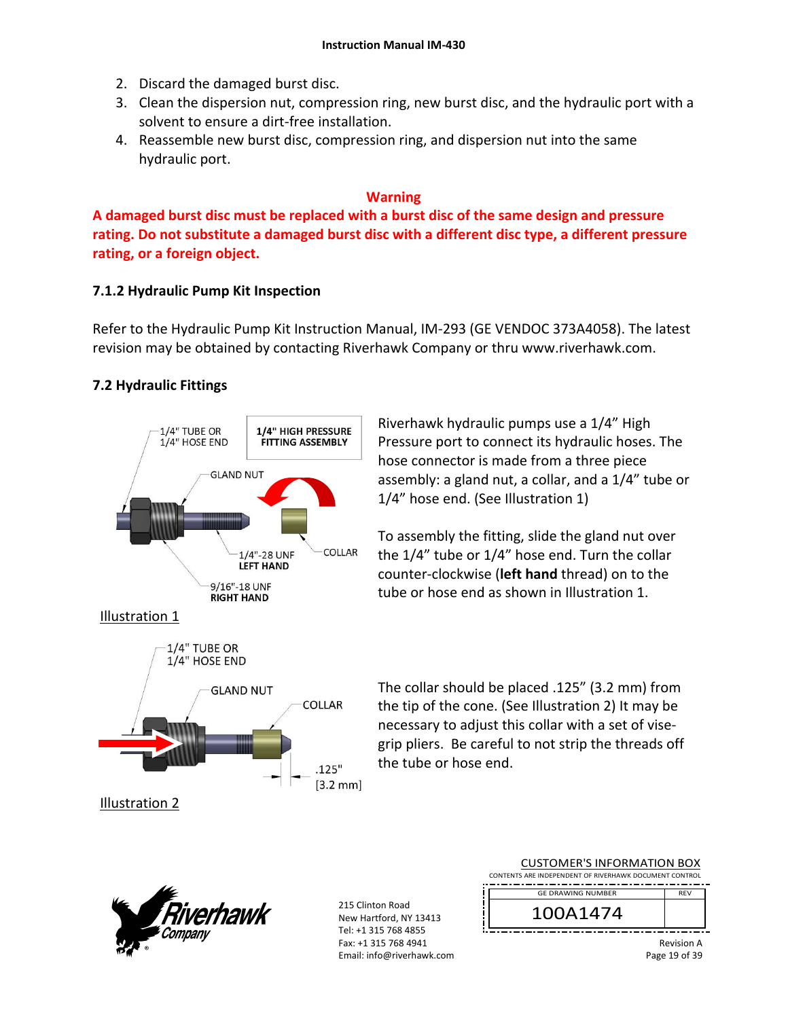- 2. Discard the damaged burst disc.
- 3. Clean the dispersion nut, compression ring, new burst disc, and the hydraulic port with a solvent to ensure a dirt‐free installation.
- 4. Reassemble new burst disc, compression ring, and dispersion nut into the same hydraulic port.

#### **Warning**

**A damaged burst disc must be replaced with a burst disc of the same design and pressure rating. Do not substitute a damaged burst disc with a different disc type, a different pressure rating, or a foreign object.**

### **7.1.2 Hydraulic Pump Kit Inspection**

Refer to the Hydraulic Pump Kit Instruction Manual, IM‐293 (GE VENDOC 373A4058). The latest revision may be obtained by contacting Riverhawk Company or thru www.riverhawk.com.

# **7.2 Hydraulic Fittings**



Riverhawk hydraulic pumps use a 1/4" High Pressure port to connect its hydraulic hoses. The hose connector is made from a three piece assembly: a gland nut, a collar, and a 1/4" tube or 1/4" hose end. (See Illustration 1)

To assembly the fitting, slide the gland nut over the 1/4" tube or 1/4" hose end. Turn the collar counter‐clockwise (**left hand** thread) on to the tube or hose end as shown in Illustration 1.

Illustration 1



The collar should be placed .125" (3.2 mm) from the tip of the cone. (See Illustration 2) It may be necessary to adjust this collar with a set of vise‐ grip pliers. Be careful to not strip the threads off the tube or hose end.

|<br>|<br>|



| <b>CUSTOMER'S INFORMATION BOX</b>                      |  |  |  |  |
|--------------------------------------------------------|--|--|--|--|
| CONTENTS ARE INDEPENDENT OF RIVERHAWK DOCUMENT CONTROL |  |  |  |  |
| <b>GE DRAWING NUMBER</b><br><b>RFV</b>                 |  |  |  |  |
| 100A1474                                               |  |  |  |  |
|                                                        |  |  |  |  |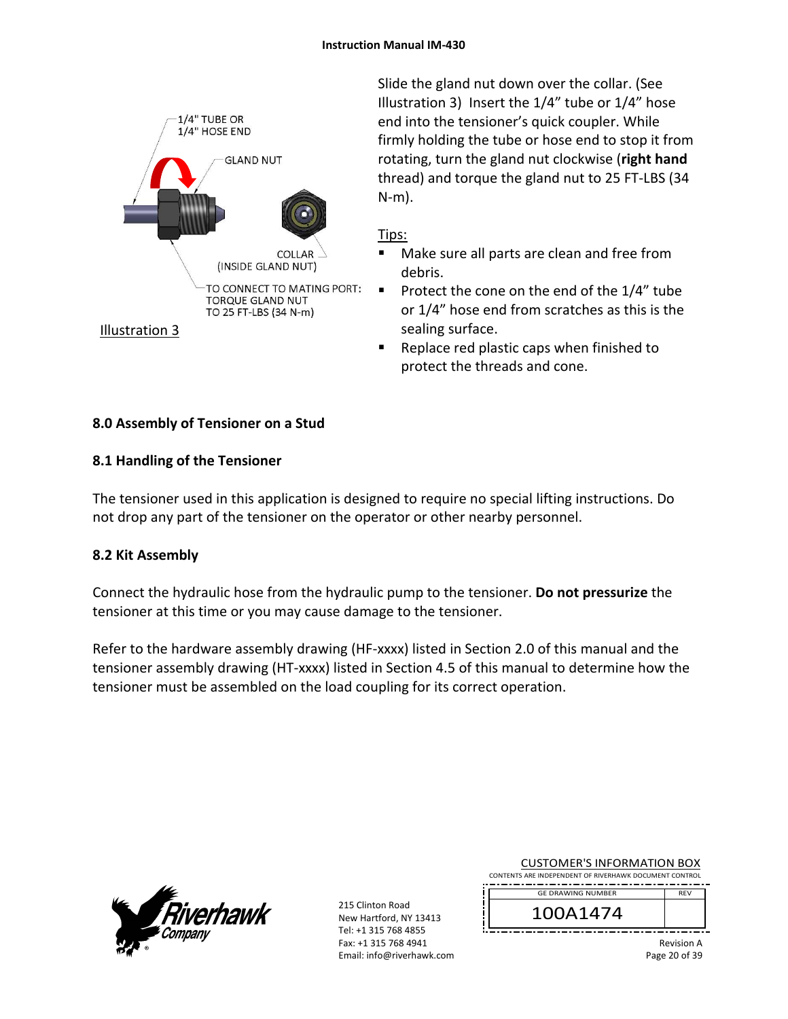

Slide the gland nut down over the collar. (See Illustration 3) Insert the 1/4" tube or 1/4" hose end into the tensioner's quick coupler. While firmly holding the tube or hose end to stop it from rotating, turn the gland nut clockwise (**right hand** thread) and torque the gland nut to 25 FT‐LBS (34 N‐m).

# Tips:

- Make sure all parts are clean and free from debris.
- Protect the cone on the end of the  $1/4$ " tube or 1/4" hose end from scratches as this is the sealing surface.
- Replace red plastic caps when finished to protect the threads and cone.

# **8.0 Assembly of Tensioner on a Stud**

# **8.1 Handling of the Tensioner**

The tensioner used in this application is designed to require no special lifting instructions. Do not drop any part of the tensioner on the operator or other nearby personnel.

# **8.2 Kit Assembly**

Connect the hydraulic hose from the hydraulic pump to the tensioner. **Do not pressurize** the tensioner at this time or you may cause damage to the tensioner.

Refer to the hardware assembly drawing (HF-xxxx) listed in Section 2.0 of this manual and the tensioner assembly drawing (HT‐xxxx) listed in Section 4.5 of this manual to determine how the tensioner must be assembled on the load coupling for its correct operation.



215 Clinton Road New Hartford, NY 13413 Tel: +1 315 768 4855 Fax: +1 315 768 4941 Email: info@riverhawk.com

|                                                        | <b>CUSTOMER'S INFORMATION BOX</b> |  |  |  |  |  |
|--------------------------------------------------------|-----------------------------------|--|--|--|--|--|
| CONTENTS ARE INDEPENDENT OF RIVERHAWK DOCUMENT CONTROL |                                   |  |  |  |  |  |
|                                                        |                                   |  |  |  |  |  |

100A1474 GE DRAWING NUMBER

> Revision A Page 20 of 39

REV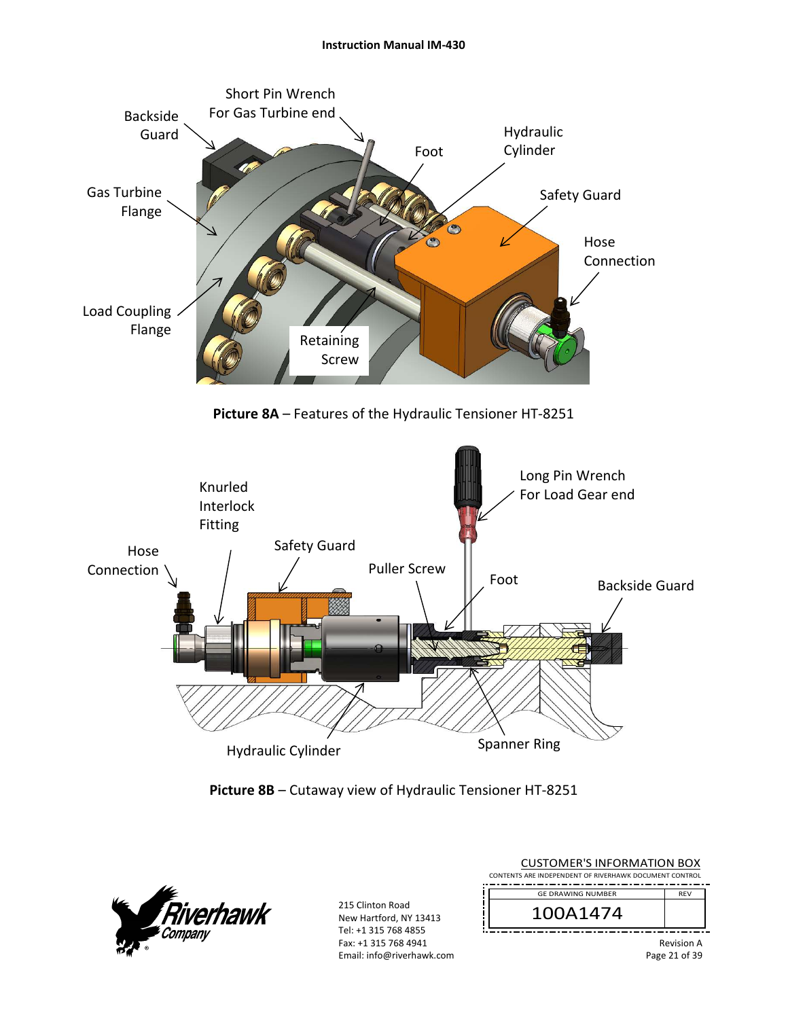

**Picture 8A** – Features of the Hydraulic Tensioner HT‐8251







215 Clinton Road New Hartford, NY 13413 Tel: +1 315 768 4855 Fax: +1 315 768 4941 Email: info@riverhawk.com

| CUSTUMER S INFORMATION BUX<br>CONTENTS ARE INDEPENDENT OF RIVERHAWK DOCUMENT CONTROL |                   |  |  |  |
|--------------------------------------------------------------------------------------|-------------------|--|--|--|
| <b>GE DRAWING NUMBER</b>                                                             | <b>REV</b>        |  |  |  |
| 100A1474                                                                             |                   |  |  |  |
|                                                                                      | <b>Revision A</b> |  |  |  |

CUCTOMER'S INFORMATION BOY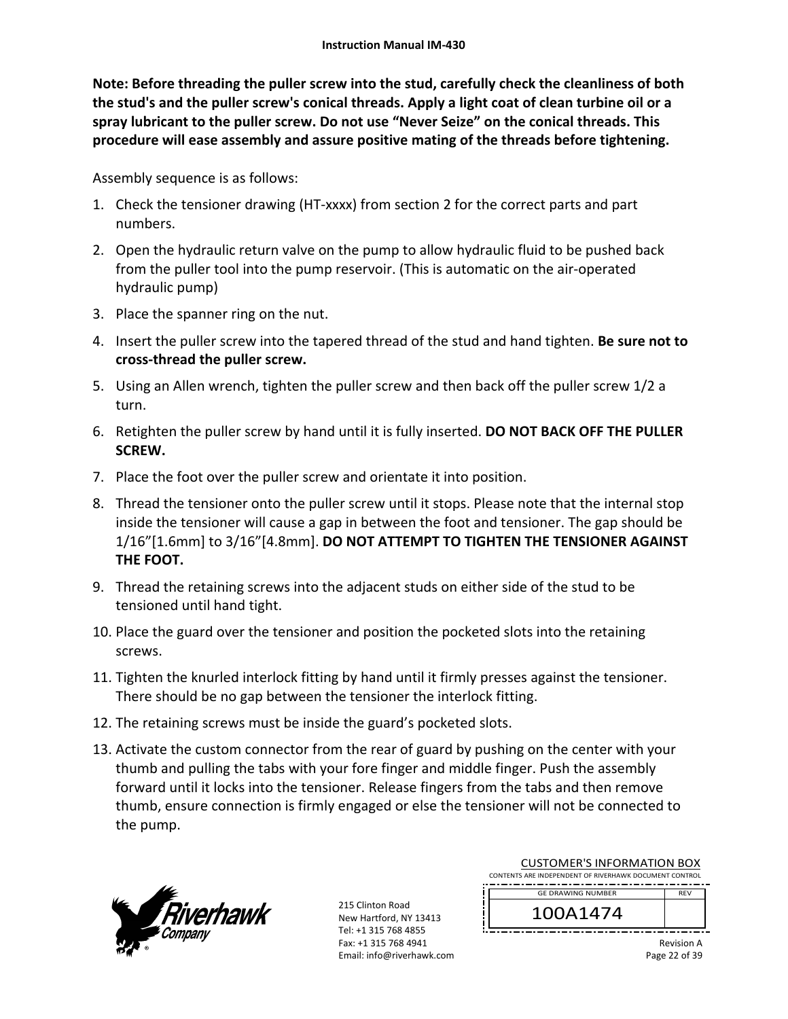**Note: Before threading the puller screw into the stud, carefully check the cleanliness of both the stud's and the puller screw's conical threads. Apply a light coat of clean turbine oil or a spray lubricant to the puller screw. Do not use "Never Seize" on the conical threads. This procedure will ease assembly and assure positive mating of the threads before tightening.** 

Assembly sequence is as follows:

- 1. Check the tensioner drawing (HT‐xxxx) from section 2 for the correct parts and part numbers.
- 2. Open the hydraulic return valve on the pump to allow hydraulic fluid to be pushed back from the puller tool into the pump reservoir. (This is automatic on the air‐operated hydraulic pump)
- 3. Place the spanner ring on the nut.
- 4. Insert the puller screw into the tapered thread of the stud and hand tighten. **Be sure not to cross‐thread the puller screw.**
- 5. Using an Allen wrench, tighten the puller screw and then back off the puller screw 1/2 a turn.
- 6. Retighten the puller screw by hand until it is fully inserted. **DO NOT BACK OFF THE PULLER SCREW.**
- 7. Place the foot over the puller screw and orientate it into position.
- 8. Thread the tensioner onto the puller screw until it stops. Please note that the internal stop inside the tensioner will cause a gap in between the foot and tensioner. The gap should be 1/16"[1.6mm] to 3/16"[4.8mm]. **DO NOT ATTEMPT TO TIGHTEN THE TENSIONER AGAINST THE FOOT.**
- 9. Thread the retaining screws into the adjacent studs on either side of the stud to be tensioned until hand tight.
- 10. Place the guard over the tensioner and position the pocketed slots into the retaining screws.
- 11. Tighten the knurled interlock fitting by hand until it firmly presses against the tensioner. There should be no gap between the tensioner the interlock fitting.
- 12. The retaining screws must be inside the guard's pocketed slots.
- 13. Activate the custom connector from the rear of guard by pushing on the center with your thumb and pulling the tabs with your fore finger and middle finger. Push the assembly forward until it locks into the tensioner. Release fingers from the tabs and then remove thumb, ensure connection is firmly engaged or else the tensioner will not be connected to the pump.



215 Clinton Road New Hartford, NY 13413 Tel: +1 315 768 4855 Fax: +1 315 768 4941 Email: info@riverhawk.com

| CONTENTS ARE INDEPENDENT OF RIVERHAWK DOCUMENT CONTROL<br><b>GE DRAWING NUMBER</b><br><b>RFV</b><br>100A1474 |  | COSTOINIEINS INTOINIATION DOM |  |  |  |  |
|--------------------------------------------------------------------------------------------------------------|--|-------------------------------|--|--|--|--|
|                                                                                                              |  |                               |  |  |  |  |
|                                                                                                              |  |                               |  |  |  |  |
|                                                                                                              |  |                               |  |  |  |  |

CUSTOMER'S INFORMATION BOX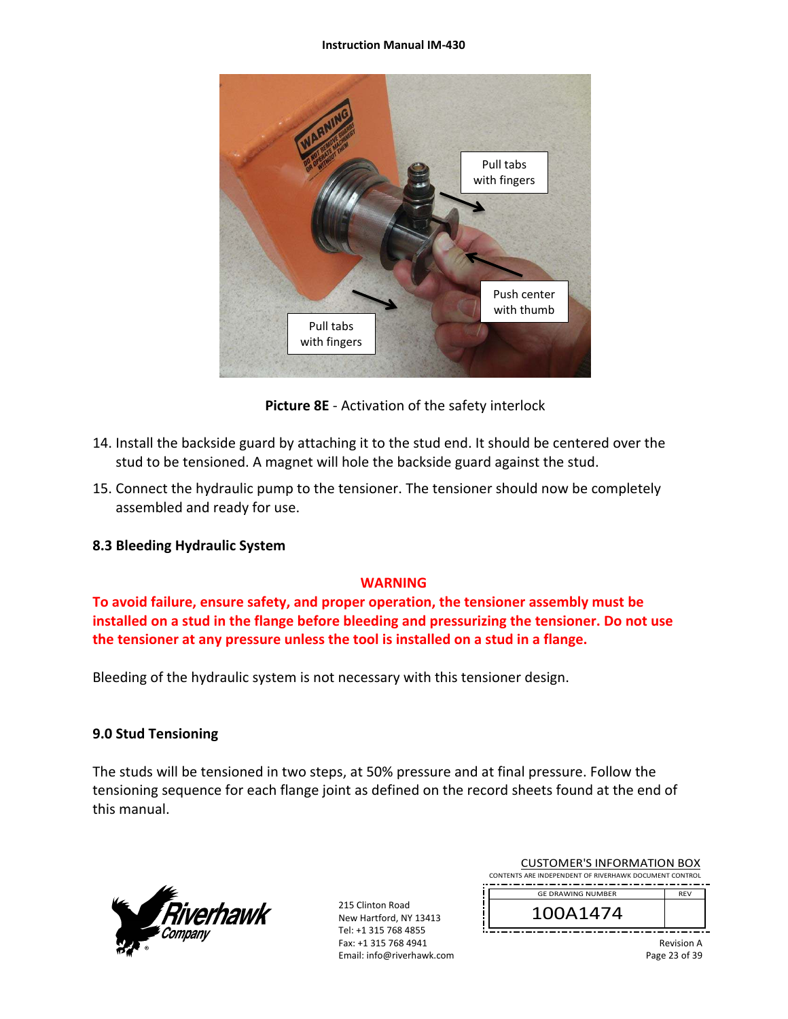#### **Instruction Manual IM‐430**



**Picture 8E** ‐ Activation of the safety interlock

- 14. Install the backside guard by attaching it to the stud end. It should be centered over the stud to be tensioned. A magnet will hole the backside guard against the stud.
- 15. Connect the hydraulic pump to the tensioner. The tensioner should now be completely assembled and ready for use.

### **8.3 Bleeding Hydraulic System**

### **WARNING**

**To avoid failure, ensure safety, and proper operation, the tensioner assembly must be installed on a stud in the flange before bleeding and pressurizing the tensioner. Do not use the tensioner at any pressure unless the tool is installed on a stud in a flange.** 

Bleeding of the hydraulic system is not necessary with this tensioner design.

### **9.0 Stud Tensioning**

The studs will be tensioned in two steps, at 50% pressure and at final pressure. Follow the tensioning sequence for each flange joint as defined on the record sheets found at the end of this manual.



215 Clinton Road New Hartford, NY 13413 Tel: +1 315 768 4855 Fax: +1 315 768 4941 Email: info@riverhawk.com

| <b>CUSTOMER'S INFORMATION BOX</b>                      |  |  |  |
|--------------------------------------------------------|--|--|--|
| CONTENTS ARE INDEPENDENT OF RIVERHAWK DOCUMENT CONTROL |  |  |  |
| <b>GE DRAWING NUMBER</b><br><b>RFV</b>                 |  |  |  |
|                                                        |  |  |  |

100A1474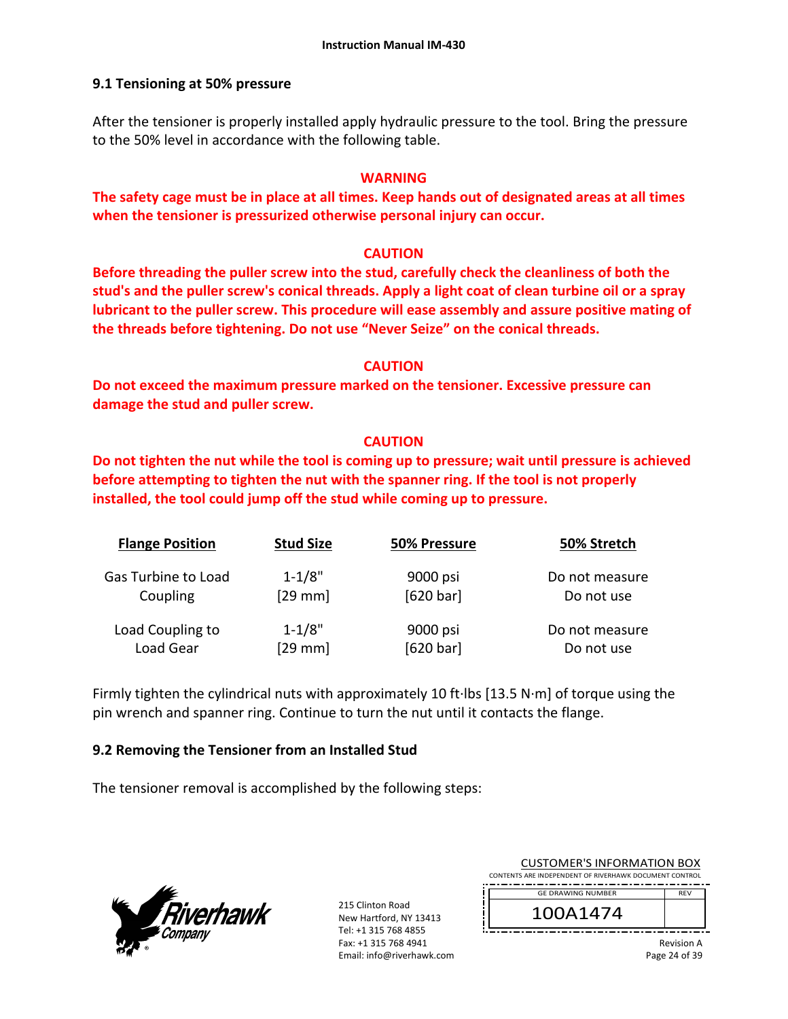### **9.1 Tensioning at 50% pressure**

After the tensioner is properly installed apply hydraulic pressure to the tool. Bring the pressure to the 50% level in accordance with the following table.

### **WARNING**

**The safety cage must be in place at all times. Keep hands out of designated areas at all times when the tensioner is pressurized otherwise personal injury can occur.** 

### **CAUTION**

**Before threading the puller screw into the stud, carefully check the cleanliness of both the stud's and the puller screw's conical threads. Apply a light coat of clean turbine oil or a spray lubricant to the puller screw. This procedure will ease assembly and assure positive mating of the threads before tightening. Do not use "Never Seize" on the conical threads.** 

#### **CAUTION**

**Do not exceed the maximum pressure marked on the tensioner. Excessive pressure can damage the stud and puller screw.** 

### **CAUTION**

**Do not tighten the nut while the tool is coming up to pressure; wait until pressure is achieved before attempting to tighten the nut with the spanner ring. If the tool is not properly installed, the tool could jump off the stud while coming up to pressure.** 

| <b>Flange Position</b> | <b>Stud Size</b> | 50% Pressure | 50% Stretch    |
|------------------------|------------------|--------------|----------------|
| Gas Turbine to Load    | $1 - 1/8"$       | 9000 psi     | Do not measure |
| Coupling               | $[29$ mm]        | [620 bar]    | Do not use     |
| Load Coupling to       | $1 - 1/8"$       | 9000 psi     | Do not measure |
| Load Gear              | $[29$ mm]        | [620 bar]    | Do not use     |

Firmly tighten the cylindrical nuts with approximately 10 ft∙lbs [13.5 N∙m] of torque using the pin wrench and spanner ring. Continue to turn the nut until it contacts the flange.

### **9.2 Removing the Tensioner from an Installed Stud**

The tensioner removal is accomplished by the following steps:



215 Clinton Road New Hartford, NY 13413 Tel: +1 315 768 4855 Fax: +1 315 768 4941 Email: info@riverhawk.com

| COSTOIVIER 3 INFORMATION BOA                           |            |
|--------------------------------------------------------|------------|
| CONTENTS ARE INDEPENDENT OF RIVERHAWK DOCUMENT CONTROL |            |
|                                                        |            |
| <b>GE DRAWING NUMBER</b>                               | <b>RFV</b> |
| 100A1474                                               |            |
|                                                        |            |

CUSTOMER'S INFORMATION BOY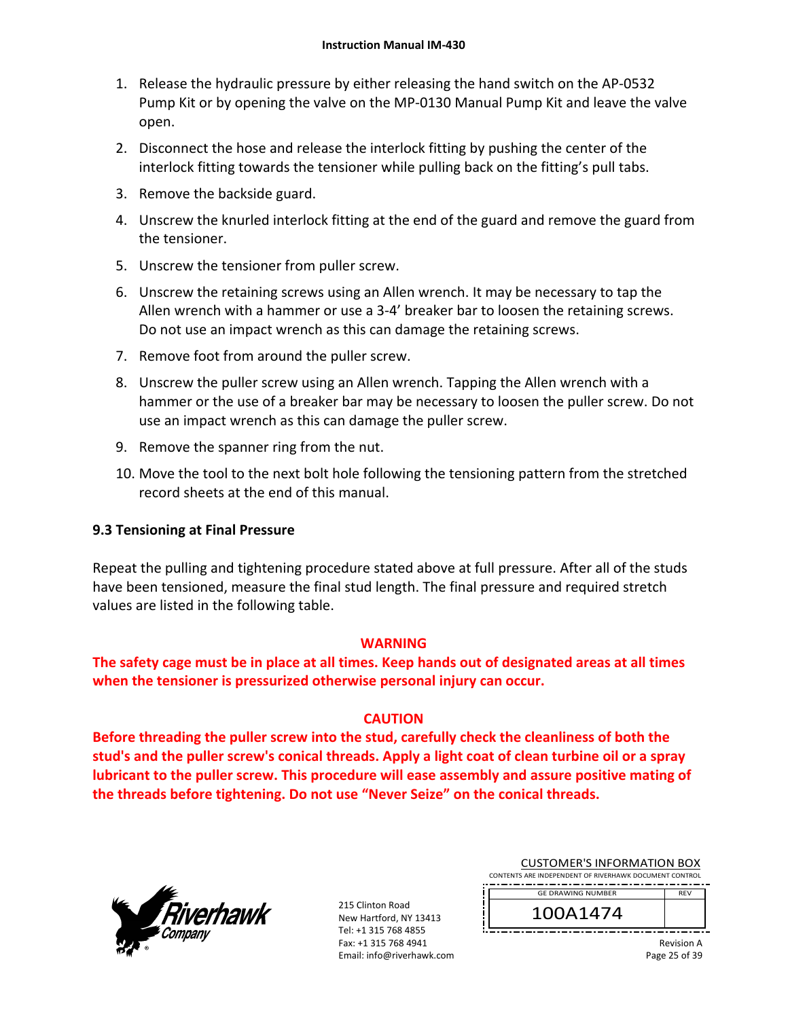- 1. Release the hydraulic pressure by either releasing the hand switch on the AP‐0532 Pump Kit or by opening the valve on the MP‐0130 Manual Pump Kit and leave the valve open.
- 2. Disconnect the hose and release the interlock fitting by pushing the center of the interlock fitting towards the tensioner while pulling back on the fitting's pull tabs.
- 3. Remove the backside guard.
- 4. Unscrew the knurled interlock fitting at the end of the guard and remove the guard from the tensioner.
- 5. Unscrew the tensioner from puller screw.
- 6. Unscrew the retaining screws using an Allen wrench. It may be necessary to tap the Allen wrench with a hammer or use a 3‐4' breaker bar to loosen the retaining screws. Do not use an impact wrench as this can damage the retaining screws.
- 7. Remove foot from around the puller screw.
- 8. Unscrew the puller screw using an Allen wrench. Tapping the Allen wrench with a hammer or the use of a breaker bar may be necessary to loosen the puller screw. Do not use an impact wrench as this can damage the puller screw.
- 9. Remove the spanner ring from the nut.
- 10. Move the tool to the next bolt hole following the tensioning pattern from the stretched record sheets at the end of this manual.

### **9.3 Tensioning at Final Pressure**

Repeat the pulling and tightening procedure stated above at full pressure. After all of the studs have been tensioned, measure the final stud length. The final pressure and required stretch values are listed in the following table.

### **WARNING**

**The safety cage must be in place at all times. Keep hands out of designated areas at all times when the tensioner is pressurized otherwise personal injury can occur.** 

### **CAUTION**

**Before threading the puller screw into the stud, carefully check the cleanliness of both the stud's and the puller screw's conical threads. Apply a light coat of clean turbine oil or a spray lubricant to the puller screw. This procedure will ease assembly and assure positive mating of the threads before tightening. Do not use "Never Seize" on the conical threads.** 



215 Clinton Road New Hartford, NY 13413 Tel: +1 315 768 4855 Fax: +1 315 768 4941 Email: info@riverhawk.com

| <b>CUSTOMER'S INFORMATION BOX</b>                      |
|--------------------------------------------------------|
| CONTENTS ARE INDEPENDENT OF RIVERHAWK DOCUMENT CONTROL |
| -----------------------------------                    |

GE DRAWING NUMBER

100A1474

Revision A Page 25 of 39

REV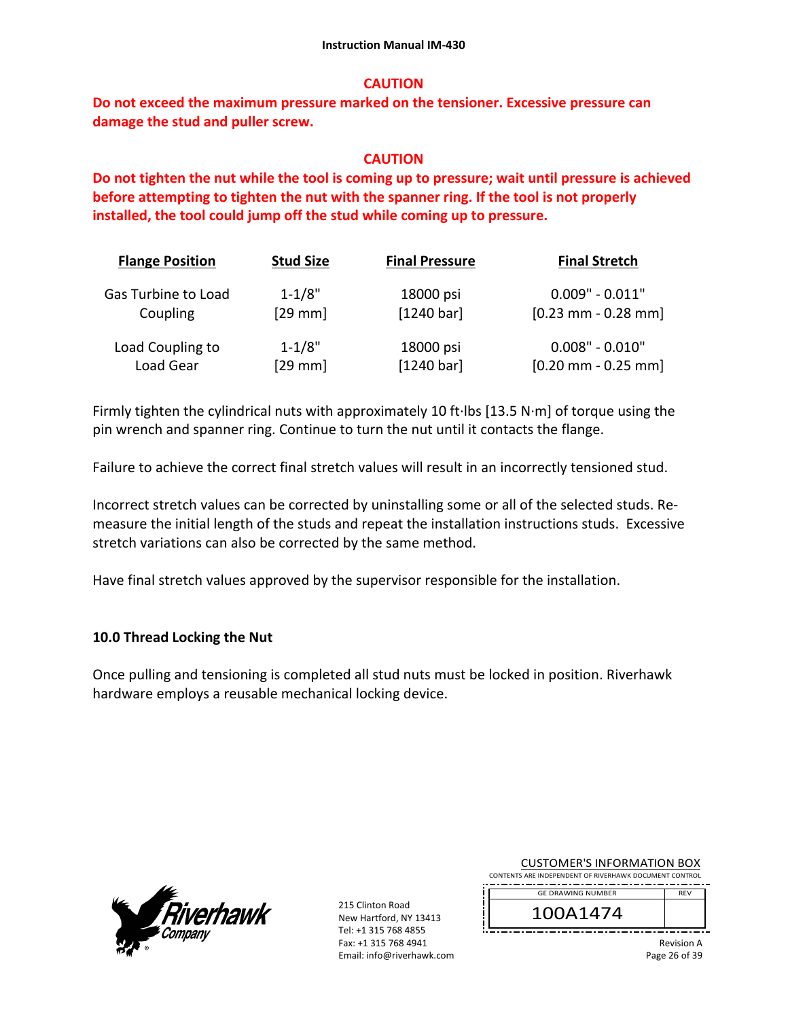#### **CAUTION**

**Do not exceed the maximum pressure marked on the tensioner. Excessive pressure can damage the stud and puller screw.** 

#### **CAUTION**

**Do not tighten the nut while the tool is coming up to pressure; wait until pressure is achieved before attempting to tighten the nut with the spanner ring. If the tool is not properly installed, the tool could jump off the stud while coming up to pressure.**

| <b>Flange Position</b> | <b>Stud Size</b> | <b>Final Pressure</b> | <b>Final Stretch</b>  |
|------------------------|------------------|-----------------------|-----------------------|
| Gas Turbine to Load    | $1 - 1/8"$       | 18000 psi             | $0.009" - 0.011"$     |
| Coupling               | $[29$ mm         | [1240 bar]            | $[0.23$ mm - 0.28 mm] |
| Load Coupling to       | $1 - 1/8"$       | 18000 psi             | $0.008" - 0.010"$     |
| Load Gear              | $[29$ mm         | $[1240 \text{ bar}]$  | $[0.20$ mm - 0.25 mm] |

Firmly tighten the cylindrical nuts with approximately 10 ft∙lbs [13.5 N∙m] of torque using the pin wrench and spanner ring. Continue to turn the nut until it contacts the flange.

Failure to achieve the correct final stretch values will result in an incorrectly tensioned stud.

Incorrect stretch values can be corrected by uninstalling some or all of the selected studs. Re‐ measure the initial length of the studs and repeat the installation instructions studs. Excessive stretch variations can also be corrected by the same method.

Have final stretch values approved by the supervisor responsible for the installation.

### **10.0 Thread Locking the Nut**

Once pulling and tensioning is completed all stud nuts must be locked in position. Riverhawk hardware employs a reusable mechanical locking device.



215 Clinton Road New Hartford, NY 13413 Tel: +1 315 768 4855 Fax: +1 315 768 4941 Email: info@riverhawk.com

| CUSTUMER SINFORMATION BUX                                        |            |
|------------------------------------------------------------------|------------|
| CONTENTS ARE INDEPENDENT OF RIVERHAWK DOCUMENT CONTROL           |            |
| ----<br>--<br>--<br>--<br>--<br>--<br>--<br>--<br>--<br>--<br>-- | --<br>--   |
| <b>GE DRAWING NUMBER</b>                                         | <b>RFV</b> |

CUCTOMER'S INFORMATION BOY

100A1474

Revision A Page 26 of 39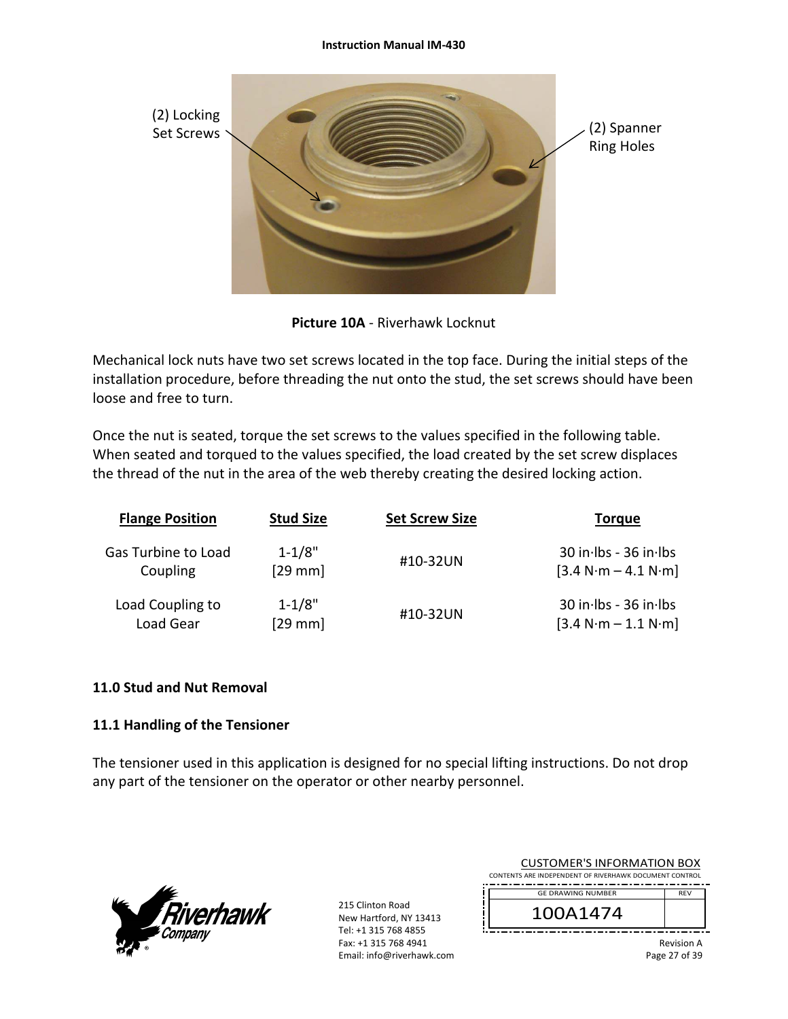

**Picture 10A** ‐ Riverhawk Locknut

Mechanical lock nuts have two set screws located in the top face. During the initial steps of the installation procedure, before threading the nut onto the stud, the set screws should have been loose and free to turn.

Once the nut is seated, torque the set screws to the values specified in the following table. When seated and torqued to the values specified, the load created by the set screw displaces the thread of the nut in the area of the web thereby creating the desired locking action.

| <b>Flange Position</b> | <b>Stud Size</b> | <b>Set Screw Size</b> | <b>Torque</b>         |
|------------------------|------------------|-----------------------|-----------------------|
| Gas Turbine to Load    | $1 - 1/8"$       | #10-32UN              | 30 in Ibs - 36 in Ibs |
| Coupling               | $[29$ mm         |                       | $[3.4 N·m - 4.1 N·m]$ |
| Load Coupling to       | $1 - 1/8"$       | #10-32UN              | 30 in Ibs - 36 in Ibs |
| Load Gear              | $[29$ mm]        |                       | $[3.4 N·m - 1.1 N·m]$ |

### **11.0 Stud and Nut Removal**

### **11.1 Handling of the Tensioner**

The tensioner used in this application is designed for no special lifting instructions. Do not drop any part of the tensioner on the operator or other nearby personnel.



215 Clinton Road New Hartford, NY 13413 Tel: +1 315 768 4855 Fax: +1 315 768 4941 Email: info@riverhawk.com

| CUSTUIVIER STINFURIVIATIUIN BUA<br>CONTENTS ARE INDEPENDENT OF RIVERHAWK DOCUMENT CONTROL |            |
|-------------------------------------------------------------------------------------------|------------|
| <b>GE DRAWING NUMBER</b>                                                                  | <b>RFV</b> |
| 100A1474                                                                                  |            |
|                                                                                           | .          |

CUCTOMER'S INFORMATION BOY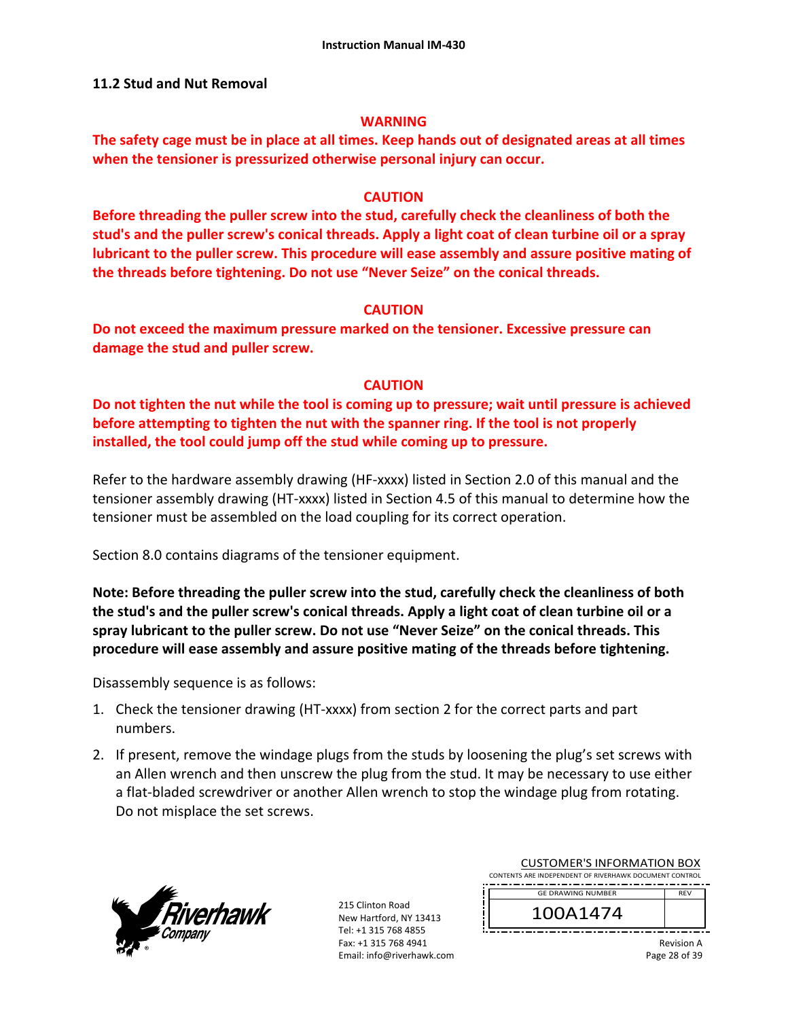#### **11.2 Stud and Nut Removal**

#### **WARNING**

**The safety cage must be in place at all times. Keep hands out of designated areas at all times when the tensioner is pressurized otherwise personal injury can occur.** 

#### **CAUTION**

**Before threading the puller screw into the stud, carefully check the cleanliness of both the stud's and the puller screw's conical threads. Apply a light coat of clean turbine oil or a spray lubricant to the puller screw. This procedure will ease assembly and assure positive mating of the threads before tightening. Do not use "Never Seize" on the conical threads.** 

### **CAUTION**

**Do not exceed the maximum pressure marked on the tensioner. Excessive pressure can damage the stud and puller screw.** 

### **CAUTION**

**Do not tighten the nut while the tool is coming up to pressure; wait until pressure is achieved before attempting to tighten the nut with the spanner ring. If the tool is not properly installed, the tool could jump off the stud while coming up to pressure.** 

Refer to the hardware assembly drawing (HF-xxxx) listed in Section 2.0 of this manual and the tensioner assembly drawing (HT‐xxxx) listed in Section 4.5 of this manual to determine how the tensioner must be assembled on the load coupling for its correct operation.

Section 8.0 contains diagrams of the tensioner equipment.

**Note: Before threading the puller screw into the stud, carefully check the cleanliness of both the stud's and the puller screw's conical threads. Apply a light coat of clean turbine oil or a spray lubricant to the puller screw. Do not use "Never Seize" on the conical threads. This procedure will ease assembly and assure positive mating of the threads before tightening.** 

Disassembly sequence is as follows:

- 1. Check the tensioner drawing (HT‐xxxx) from section 2 for the correct parts and part numbers.
- 2. If present, remove the windage plugs from the studs by loosening the plug's set screws with an Allen wrench and then unscrew the plug from the stud. It may be necessary to use either a flat‐bladed screwdriver or another Allen wrench to stop the windage plug from rotating. Do not misplace the set screws.



215 Clinton Road New Hartford, NY 13413 Tel: +1 315 768 4855 Fax: +1 315 768 4941 Email: info@riverhawk.com

| CUSTUIVIEN 3 INFUNIVIATIUIN BUA                        |            |
|--------------------------------------------------------|------------|
| CONTENTS ARE INDEPENDENT OF RIVERHAWK DOCUMENT CONTROL |            |
| <b>GE DRAWING NUMBER</b>                               | <b>RFV</b> |
|                                                        |            |
|                                                        |            |
|                                                        |            |
| 100A1474                                               |            |

CUCTOMER'S INFORMATION BOY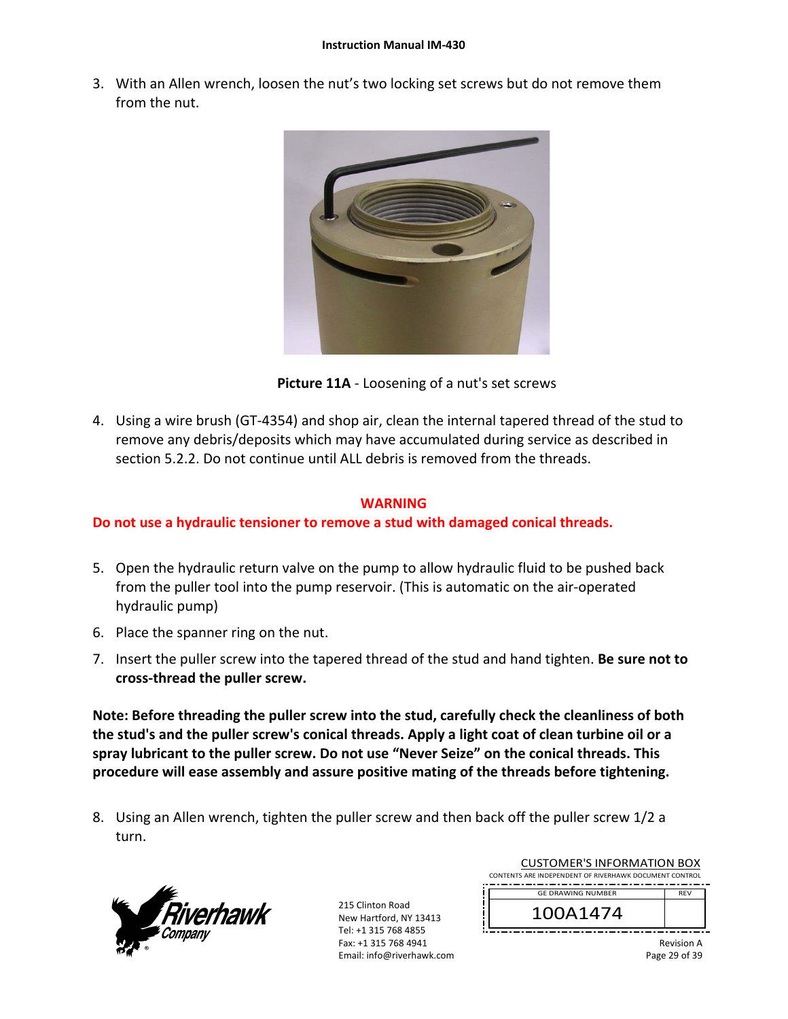3. With an Allen wrench, loosen the nut's two locking set screws but do not remove them from the nut.



**Picture 11A** ‐ Loosening of a nut's set screws

4. Using a wire brush (GT‐4354) and shop air, clean the internal tapered thread of the stud to remove any debris/deposits which may have accumulated during service as described in section 5.2.2. Do not continue until ALL debris is removed from the threads.

### **WARNING**

# **Do not use a hydraulic tensioner to remove a stud with damaged conical threads.**

- 5. Open the hydraulic return valve on the pump to allow hydraulic fluid to be pushed back from the puller tool into the pump reservoir. (This is automatic on the air‐operated hydraulic pump)
- 6. Place the spanner ring on the nut.
- 7. Insert the puller screw into the tapered thread of the stud and hand tighten. **Be sure not to cross‐thread the puller screw.**

**Note: Before threading the puller screw into the stud, carefully check the cleanliness of both the stud's and the puller screw's conical threads. Apply a light coat of clean turbine oil or a spray lubricant to the puller screw. Do not use "Never Seize" on the conical threads. This procedure will ease assembly and assure positive mating of the threads before tightening.** 

8. Using an Allen wrench, tighten the puller screw and then back off the puller screw 1/2 a turn.



| <b>CUSTOMER'S INFORMATION BOX</b><br>CONTENTS ARE INDEPENDENT OF RIVERHAWK DOCUMENT CONTROL |            |
|---------------------------------------------------------------------------------------------|------------|
| <b>GE DRAWING NUMBER</b>                                                                    | <b>RFV</b> |
| 100A1474                                                                                    |            |
|                                                                                             |            |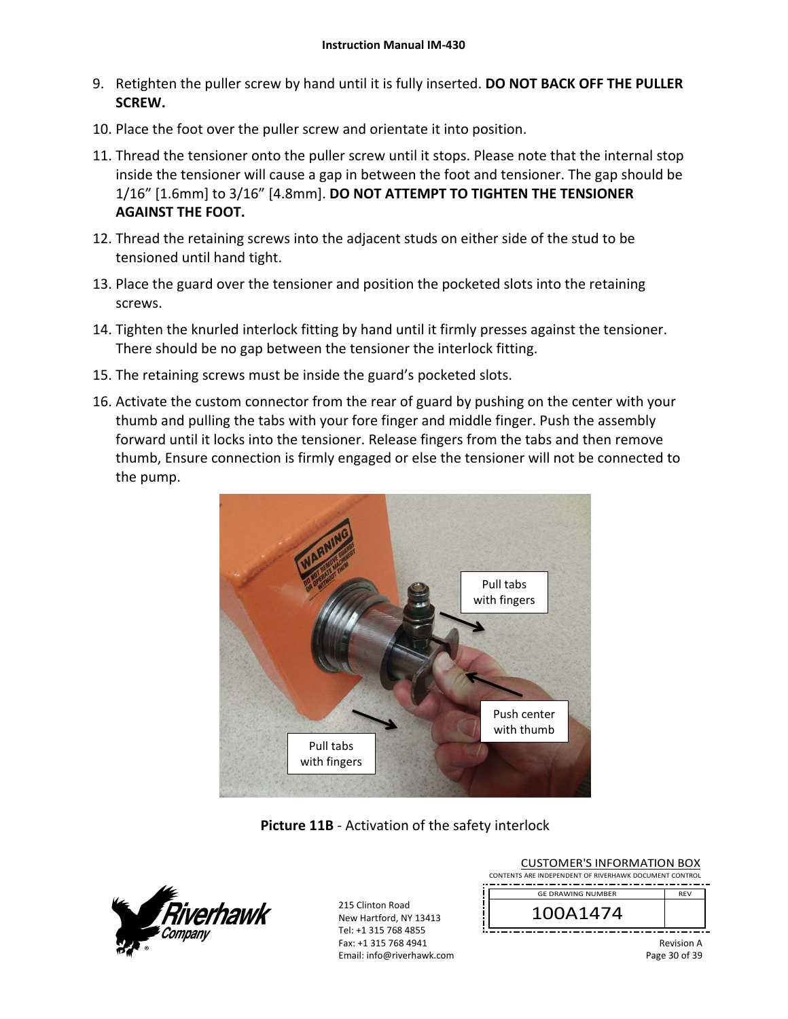- 9. Retighten the puller screw by hand until it is fully inserted. **DO NOT BACK OFF THE PULLER SCREW.**
- 10. Place the foot over the puller screw and orientate it into position.
- 11. Thread the tensioner onto the puller screw until it stops. Please note that the internal stop inside the tensioner will cause a gap in between the foot and tensioner. The gap should be 1/16" [1.6mm] to 3/16" [4.8mm]. **DO NOT ATTEMPT TO TIGHTEN THE TENSIONER AGAINST THE FOOT.**
- 12. Thread the retaining screws into the adjacent studs on either side of the stud to be tensioned until hand tight.
- 13. Place the guard over the tensioner and position the pocketed slots into the retaining screws.
- 14. Tighten the knurled interlock fitting by hand until it firmly presses against the tensioner. There should be no gap between the tensioner the interlock fitting.
- 15. The retaining screws must be inside the guard's pocketed slots.
- 16. Activate the custom connector from the rear of guard by pushing on the center with your thumb and pulling the tabs with your fore finger and middle finger. Push the assembly forward until it locks into the tensioner. Release fingers from the tabs and then remove thumb, Ensure connection is firmly engaged or else the tensioner will not be connected to the pump.



# **Picture 11B** ‐ Activation of the safety interlock



| <b>CUSTOMER'S INFORMATION BOX</b><br>CONTENTS ARE INDEPENDENT OF RIVERHAWK DOCUMENT CONTROL |                   |
|---------------------------------------------------------------------------------------------|-------------------|
| <b>GE DRAWING NUMBER</b><br>100A1474                                                        | <b>RFV</b>        |
|                                                                                             | <b>Revision A</b> |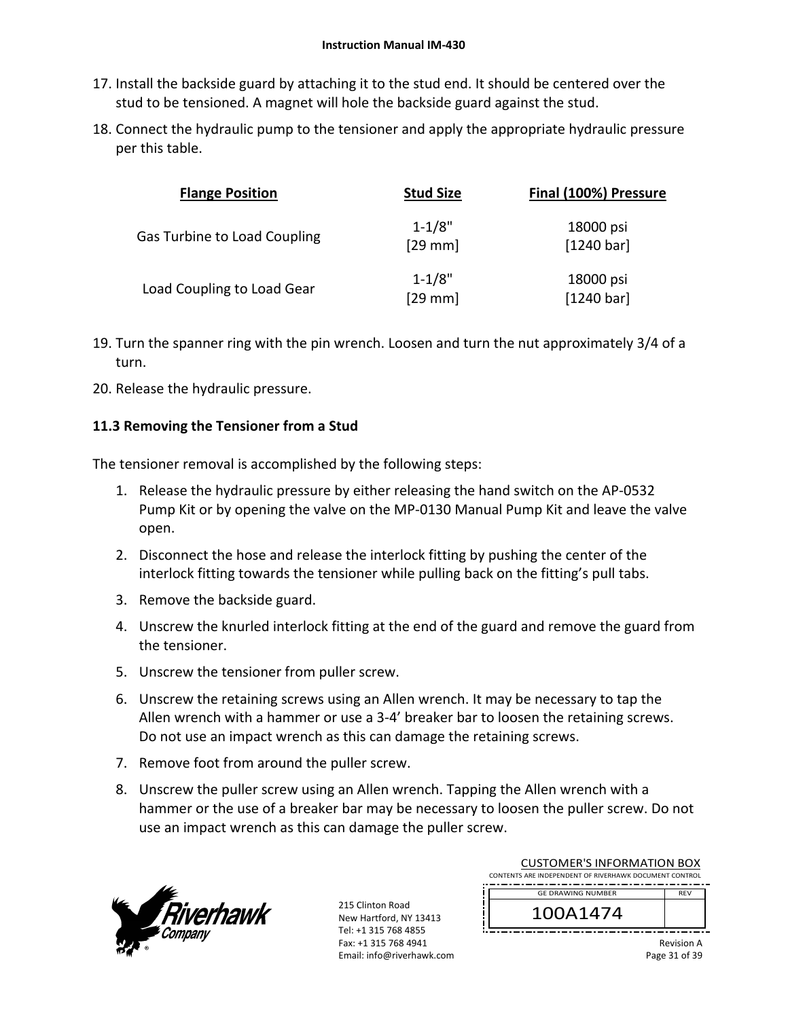- 17. Install the backside guard by attaching it to the stud end. It should be centered over the stud to be tensioned. A magnet will hole the backside guard against the stud.
- 18. Connect the hydraulic pump to the tensioner and apply the appropriate hydraulic pressure per this table.

| <b>Flange Position</b>              | <b>Stud Size</b>        | Final (100%) Pressure   |
|-------------------------------------|-------------------------|-------------------------|
| <b>Gas Turbine to Load Coupling</b> | $1 - 1/8"$<br>$[29$ mm] | 18000 psi<br>[1240 bar] |
| Load Coupling to Load Gear          | $1 - 1/8"$<br>$[29$ mm] | 18000 psi<br>[1240 bar] |

- 19. Turn the spanner ring with the pin wrench. Loosen and turn the nut approximately 3/4 of a turn.
- 20. Release the hydraulic pressure.

### **11.3 Removing the Tensioner from a Stud**

The tensioner removal is accomplished by the following steps:

- 1. Release the hydraulic pressure by either releasing the hand switch on the AP‐0532 Pump Kit or by opening the valve on the MP‐0130 Manual Pump Kit and leave the valve open.
- 2. Disconnect the hose and release the interlock fitting by pushing the center of the interlock fitting towards the tensioner while pulling back on the fitting's pull tabs.
- 3. Remove the backside guard.
- 4. Unscrew the knurled interlock fitting at the end of the guard and remove the guard from the tensioner.
- 5. Unscrew the tensioner from puller screw.
- 6. Unscrew the retaining screws using an Allen wrench. It may be necessary to tap the Allen wrench with a hammer or use a 3‐4' breaker bar to loosen the retaining screws. Do not use an impact wrench as this can damage the retaining screws.
- 7. Remove foot from around the puller screw.
- 8. Unscrew the puller screw using an Allen wrench. Tapping the Allen wrench with a hammer or the use of a breaker bar may be necessary to loosen the puller screw. Do not use an impact wrench as this can damage the puller screw.



215 Clinton Road New Hartford, NY 13413 Tel: +1 315 768 4855 Fax: +1 315 768 4941 Email: info@riverhawk.com

| CUSTUIVIER STINFURIVIATION BUA<br>CONTENTS ARE INDEPENDENT OF RIVERHAWK DOCUMENT CONTROL |            |
|------------------------------------------------------------------------------------------|------------|
| <b>GE DRAWING NUMBER</b>                                                                 | <b>RFV</b> |
| 100A1474                                                                                 |            |
|                                                                                          |            |

CUCTOMER'S INFORMATION BOY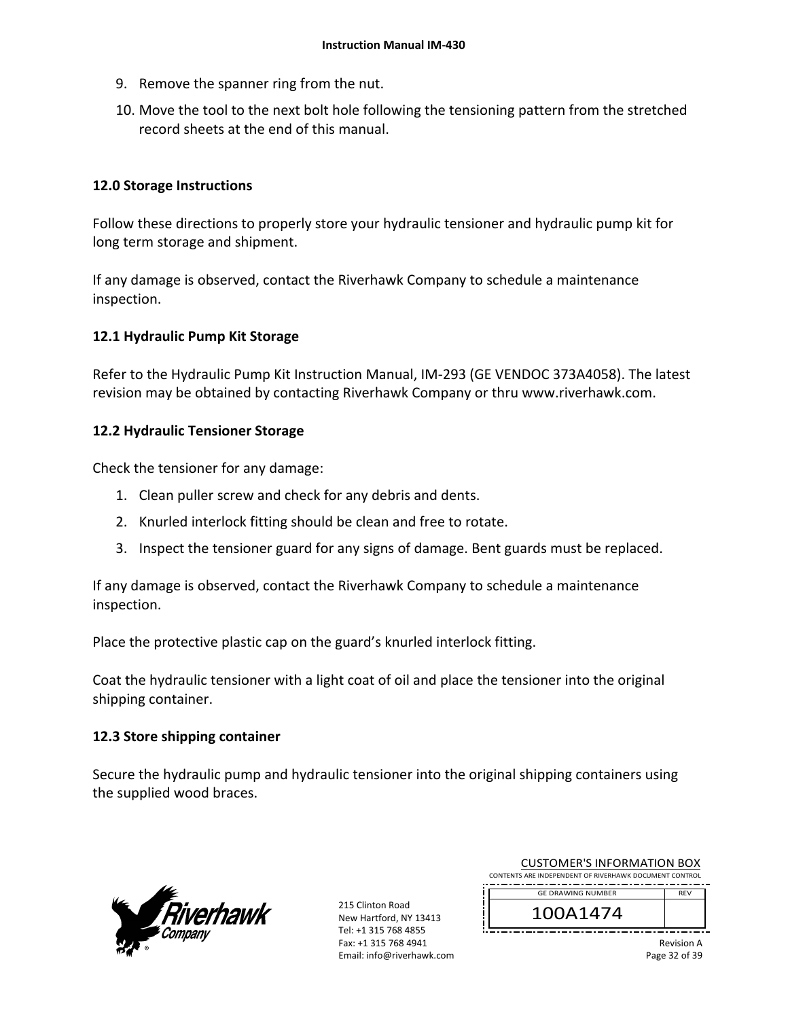- 9. Remove the spanner ring from the nut.
- 10. Move the tool to the next bolt hole following the tensioning pattern from the stretched record sheets at the end of this manual.

### **12.0 Storage Instructions**

Follow these directions to properly store your hydraulic tensioner and hydraulic pump kit for long term storage and shipment.

If any damage is observed, contact the Riverhawk Company to schedule a maintenance inspection.

### **12.1 Hydraulic Pump Kit Storage**

Refer to the Hydraulic Pump Kit Instruction Manual, IM‐293 (GE VENDOC 373A4058). The latest revision may be obtained by contacting Riverhawk Company or thru www.riverhawk.com.

### **12.2 Hydraulic Tensioner Storage**

Check the tensioner for any damage:

- 1. Clean puller screw and check for any debris and dents.
- 2. Knurled interlock fitting should be clean and free to rotate.
- 3. Inspect the tensioner guard for any signs of damage. Bent guards must be replaced.

If any damage is observed, contact the Riverhawk Company to schedule a maintenance inspection.

Place the protective plastic cap on the guard's knurled interlock fitting.

Coat the hydraulic tensioner with a light coat of oil and place the tensioner into the original shipping container.

### **12.3 Store shipping container**

Secure the hydraulic pump and hydraulic tensioner into the original shipping containers using the supplied wood braces.



215 Clinton Road New Hartford, NY 13413 Tel: +1 315 768 4855 Fax: +1 315 768 4941 Email: info@riverhawk.com

| <b>CUSTOMER'S INFORMATION BOX</b>                      |            |
|--------------------------------------------------------|------------|
| CONTENTS ARE INDEPENDENT OF RIVERHAWK DOCUMENT CONTROL |            |
| <b>GE DRAWING NUMBER</b>                               | <b>RFV</b> |

100A1474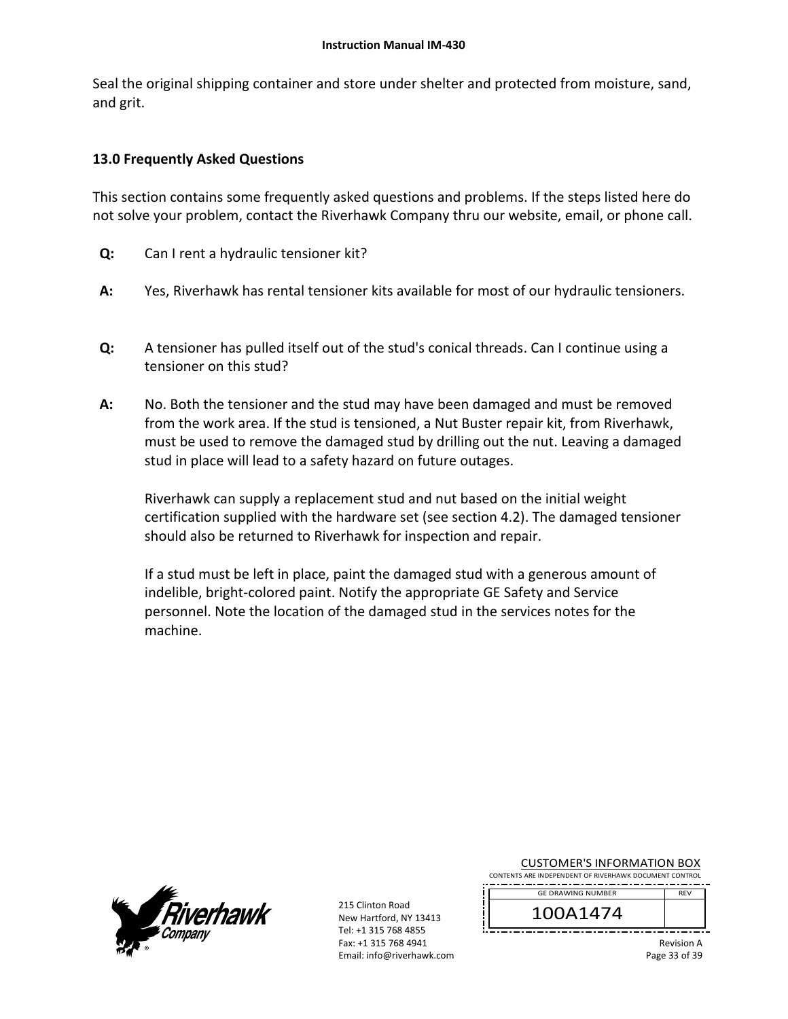Seal the original shipping container and store under shelter and protected from moisture, sand, and grit.

### **13.0 Frequently Asked Questions**

This section contains some frequently asked questions and problems. If the steps listed here do not solve your problem, contact the Riverhawk Company thru our website, email, or phone call.

- **Q:**  Can I rent a hydraulic tensioner kit?
- **A:**  Yes, Riverhawk has rental tensioner kits available for most of our hydraulic tensioners.
- **Q:**  A tensioner has pulled itself out of the stud's conical threads. Can I continue using a tensioner on this stud?
- **A:**  No. Both the tensioner and the stud may have been damaged and must be removed from the work area. If the stud is tensioned, a Nut Buster repair kit, from Riverhawk, must be used to remove the damaged stud by drilling out the nut. Leaving a damaged stud in place will lead to a safety hazard on future outages.

Riverhawk can supply a replacement stud and nut based on the initial weight certification supplied with the hardware set (see section 4.2). The damaged tensioner should also be returned to Riverhawk for inspection and repair.

If a stud must be left in place, paint the damaged stud with a generous amount of indelible, bright‐colored paint. Notify the appropriate GE Safety and Service personnel. Note the location of the damaged stud in the services notes for the machine.



215 Clinton Road New Hartford, NY 13413 Tel: +1 315 768 4855 Fax: +1 315 768 4941 Email: info@riverhawk.com

| <b>CUSTOMER'S INFORMATION BOX</b>                      |  |  |
|--------------------------------------------------------|--|--|
| CONTENTS ARE INDEPENDENT OF RIVERHAWK DOCUMENT CONTROL |  |  |

REV GE DRAWING NUMBER

100A1474

Revision A Page 33 of 39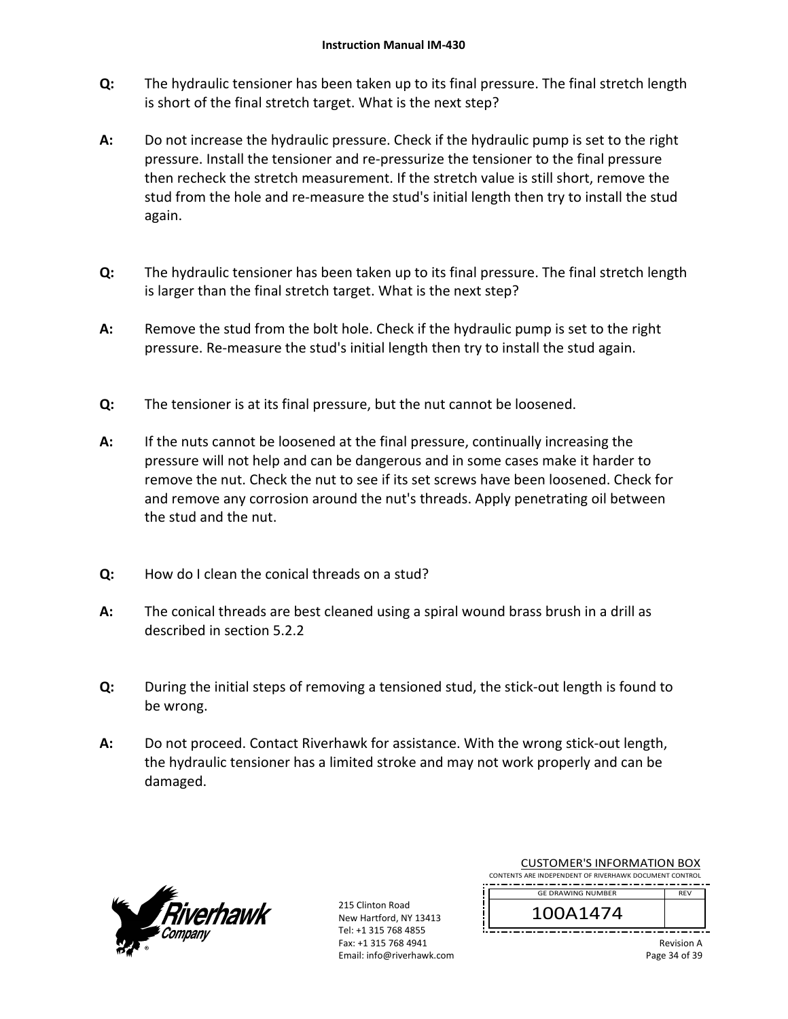- **Q:**  The hydraulic tensioner has been taken up to its final pressure. The final stretch length is short of the final stretch target. What is the next step?
- **A:**  Do not increase the hydraulic pressure. Check if the hydraulic pump is set to the right pressure. Install the tensioner and re‐pressurize the tensioner to the final pressure then recheck the stretch measurement. If the stretch value is still short, remove the stud from the hole and re‐measure the stud's initial length then try to install the stud again.
- **Q:**  The hydraulic tensioner has been taken up to its final pressure. The final stretch length is larger than the final stretch target. What is the next step?
- **A:**  Remove the stud from the bolt hole. Check if the hydraulic pump is set to the right pressure. Re‐measure the stud's initial length then try to install the stud again.
- **Q:**  The tensioner is at its final pressure, but the nut cannot be loosened.
- **A:**  If the nuts cannot be loosened at the final pressure, continually increasing the pressure will not help and can be dangerous and in some cases make it harder to remove the nut. Check the nut to see if its set screws have been loosened. Check for and remove any corrosion around the nut's threads. Apply penetrating oil between the stud and the nut.
- **Q:**  How do I clean the conical threads on a stud?
- **A:**  The conical threads are best cleaned using a spiral wound brass brush in a drill as described in section 5.2.2
- **Q:**  During the initial steps of removing a tensioned stud, the stick-out length is found to be wrong.
- **A:**  Do not proceed. Contact Riverhawk for assistance. With the wrong stick-out length, the hydraulic tensioner has a limited stroke and may not work properly and can be damaged.



215 Clinton Road New Hartford, NY 13413 Tel: +1 315 768 4855 Fax: +1 315 768 4941 Email: info@riverhawk.com

| CONTENTS ARE INDEPENDENT OF RIVERHAWK DOCUMENT CONTROL |            |  |
|--------------------------------------------------------|------------|--|
| <b>GE DRAWING NUMBER</b>                               | <b>REV</b> |  |
| 100A1474                                               |            |  |

CUSTOMER'S INFORMATION BOX

Revision A Page 34 of 39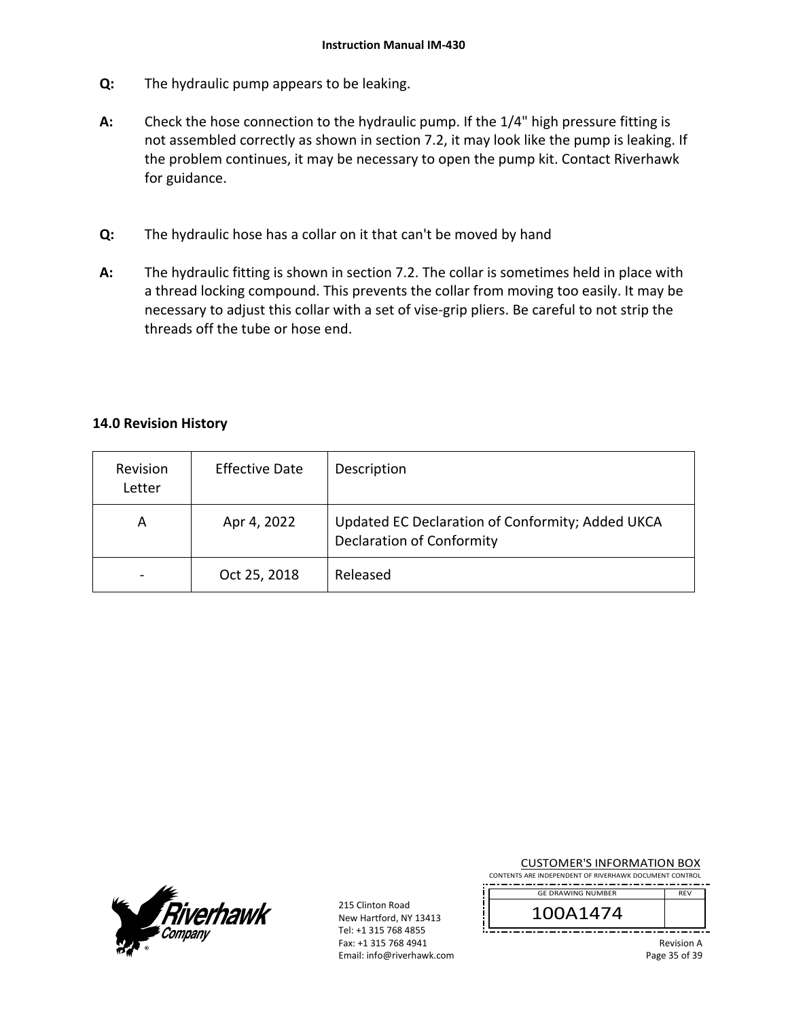- **Q:**  The hydraulic pump appears to be leaking.
- **A:**  Check the hose connection to the hydraulic pump. If the 1/4" high pressure fitting is not assembled correctly as shown in section 7.2, it may look like the pump is leaking. If the problem continues, it may be necessary to open the pump kit. Contact Riverhawk for guidance.
- **Q:**  The hydraulic hose has a collar on it that can't be moved by hand
- **A:**  The hydraulic fitting is shown in section 7.2. The collar is sometimes held in place with a thread locking compound. This prevents the collar from moving too easily. It may be necessary to adjust this collar with a set of vise‐grip pliers. Be careful to not strip the threads off the tube or hose end.

### **14.0 Revision History**

| Revision<br>Letter | <b>Effective Date</b> | Description                                                                          |
|--------------------|-----------------------|--------------------------------------------------------------------------------------|
| A                  | Apr 4, 2022           | Updated EC Declaration of Conformity; Added UKCA<br><b>Declaration of Conformity</b> |
|                    | Oct 25, 2018          | Released                                                                             |



215 Clinton Road New Hartford, NY 13413 Tel: +1 315 768 4855 Fax: +1 315 768 4941 Email: info@riverhawk.com

| <b>CUSTOMER'S INFORMATION BOX</b>                      |  |  |
|--------------------------------------------------------|--|--|
| CONTENTS ARE INDEPENDENT OF RIVERHAWK DOCUMENT CONTROL |  |  |

REV GE DRAWING NUMBER

100A1474

Revision A Page 35 of 39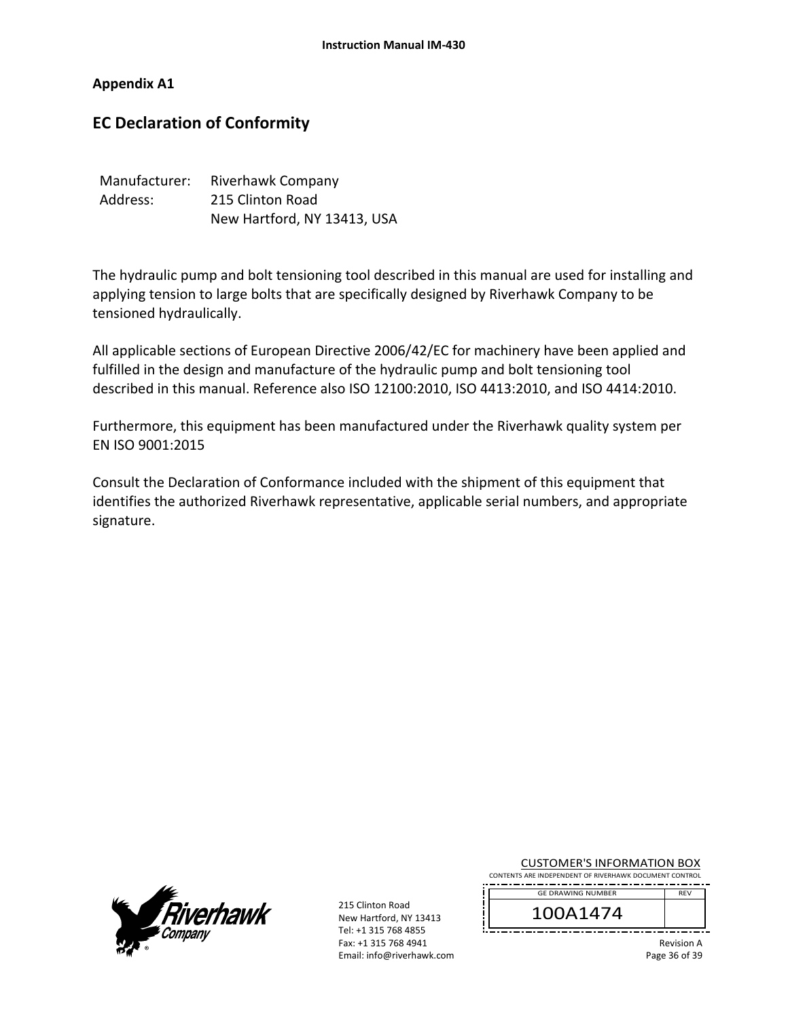#### **Appendix A1**

# **EC Declaration of Conformity**

| Manufacturer: | Riverhawk Company           |
|---------------|-----------------------------|
| Address:      | 215 Clinton Road            |
|               | New Hartford, NY 13413, USA |

The hydraulic pump and bolt tensioning tool described in this manual are used for installing and applying tension to large bolts that are specifically designed by Riverhawk Company to be tensioned hydraulically.

All applicable sections of European Directive 2006/42/EC for machinery have been applied and fulfilled in the design and manufacture of the hydraulic pump and bolt tensioning tool described in this manual. Reference also ISO 12100:2010, ISO 4413:2010, and ISO 4414:2010.

Furthermore, this equipment has been manufactured under the Riverhawk quality system per EN ISO 9001:2015

Consult the Declaration of Conformance included with the shipment of this equipment that identifies the authorized Riverhawk representative, applicable serial numbers, and appropriate signature.



215 Clinton Road New Hartford, NY 13413 Tel: +1 315 768 4855 Fax: +1 315 768 4941 Email: info@riverhawk.com

| <b>CUSTOMER'S INFORMATION BOX</b>                      |  |
|--------------------------------------------------------|--|
| CONTENTS ARE INDEPENDENT OF RIVERHAWK DOCUMENT CONTROL |  |

REV GE DRAWING NUMBER

100A1474

Revision A Page 36 of 39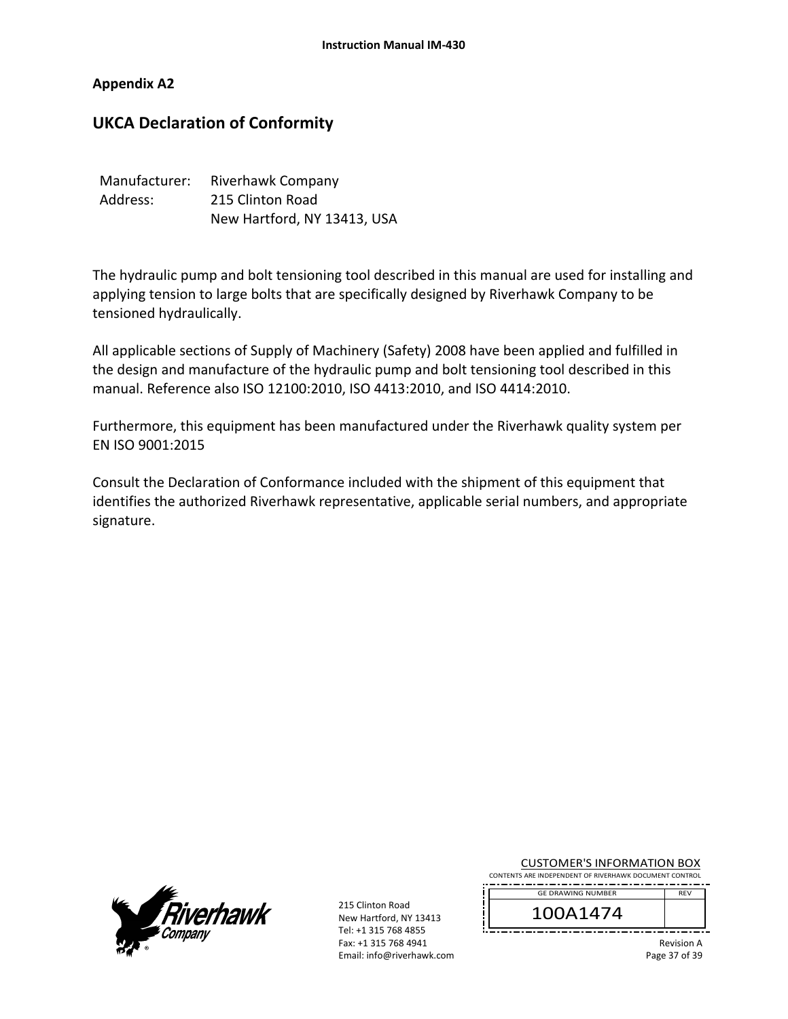#### **Appendix A2**

# **UKCA Declaration of Conformity**

| Manufacturer: | Riverhawk Company           |
|---------------|-----------------------------|
| Address:      | 215 Clinton Road            |
|               | New Hartford, NY 13413, USA |

The hydraulic pump and bolt tensioning tool described in this manual are used for installing and applying tension to large bolts that are specifically designed by Riverhawk Company to be tensioned hydraulically.

All applicable sections of Supply of Machinery (Safety) 2008 have been applied and fulfilled in the design and manufacture of the hydraulic pump and bolt tensioning tool described in this manual. Reference also ISO 12100:2010, ISO 4413:2010, and ISO 4414:2010.

Furthermore, this equipment has been manufactured under the Riverhawk quality system per EN ISO 9001:2015

Consult the Declaration of Conformance included with the shipment of this equipment that identifies the authorized Riverhawk representative, applicable serial numbers, and appropriate signature.



215 Clinton Road New Hartford, NY 13413 Tel: +1 315 768 4855 Fax: +1 315 768 4941 Email: info@riverhawk.com

| <b>CUSTOMER'S INFORMATION BOX</b>                      |  |  |  |
|--------------------------------------------------------|--|--|--|
| CONTENTS ARE INDEPENDENT OF RIVERHAWK DOCUMENT CONTROL |  |  |  |

REV GE DRAWING NUMBER

100A1474

Revision A Page 37 of 39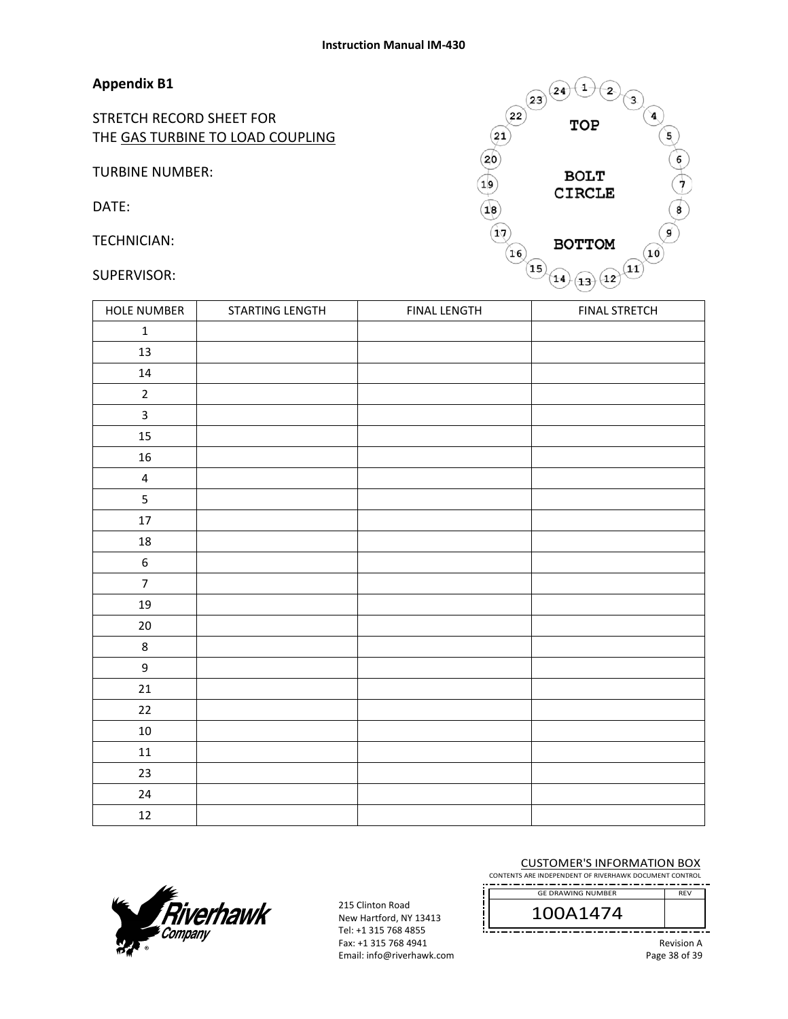### **Appendix B1**

STRETCH RECORD SHEET FOR THE GAS TURBINE TO LOAD COUPLING

TURBINE NUMBER:

DATE:

TECHNICIAN:

#### SUPERVISOR:



| HOLE NUMBER             | STARTING LENGTH | FINAL LENGTH | <b>FINAL STRETCH</b> |
|-------------------------|-----------------|--------------|----------------------|
| $\mathbf 1$             |                 |              |                      |
| 13                      |                 |              |                      |
| $14\,$                  |                 |              |                      |
| $\overline{2}$          |                 |              |                      |
| $\overline{\mathbf{3}}$ |                 |              |                      |
| 15                      |                 |              |                      |
| ${\bf 16}$              |                 |              |                      |
| $\overline{4}$          |                 |              |                      |
| $\overline{5}$          |                 |              |                      |
| $17\,$                  |                 |              |                      |
| $18\,$                  |                 |              |                      |
| $\boldsymbol{6}$        |                 |              |                      |
| $\overline{7}$          |                 |              |                      |
| 19                      |                 |              |                      |
| $20\,$                  |                 |              |                      |
| $\bf 8$                 |                 |              |                      |
| $\boldsymbol{9}$        |                 |              |                      |
| 21                      |                 |              |                      |
| 22                      |                 |              |                      |
| $10\,$                  |                 |              |                      |
| 11                      |                 |              |                      |
| 23                      |                 |              |                      |
| $24\,$                  |                 |              |                      |
| 12                      |                 |              |                      |



215 Clinton Road New Hartford, NY 13413 Tel: +1 315 768 4855 Fax: +1 315 768 4941 Email: info@riverhawk.com

#### CUSTOMER'S INFORMATION BOX

CONTENTS ARE INDEPENDENT OF RIVERHAWK DOCUMENT CONTROL 

100A1474 GE DRAWING NUMBER

Revision A Page 38 of 39

REV